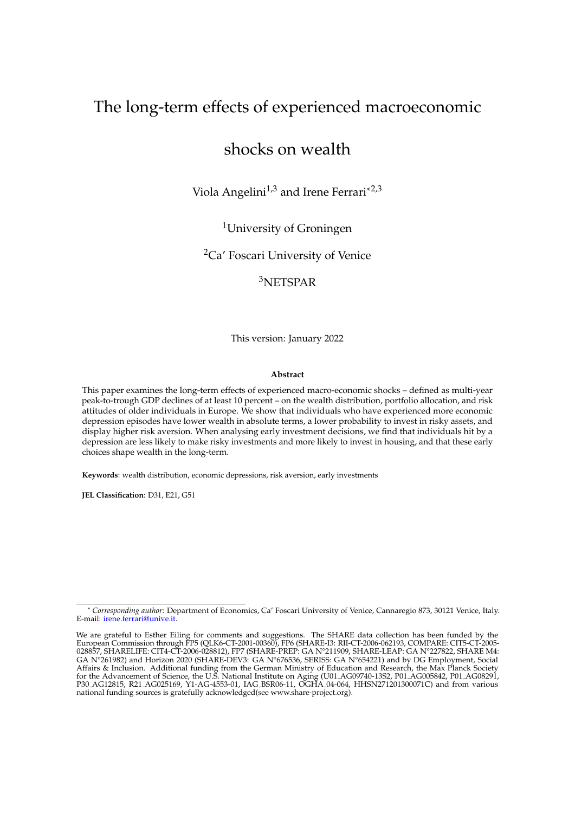# The long-term effects of experienced macroeconomic

## shocks on wealth

Viola Angelini<sup>1,3</sup> and Irene Ferrari\*<sup>2,3</sup>

<sup>1</sup>University of Groningen

<sup>2</sup>Ca' Foscari University of Venice

### <sup>3</sup>NETSPAR

This version: January 2022

#### **Abstract**

This paper examines the long-term effects of experienced macro-economic shocks – defined as multi-year peak-to-trough GDP declines of at least 10 percent – on the wealth distribution, portfolio allocation, and risk attitudes of older individuals in Europe. We show that individuals who have experienced more economic depression episodes have lower wealth in absolute terms, a lower probability to invest in risky assets, and display higher risk aversion. When analysing early investment decisions, we find that individuals hit by a depression are less likely to make risky investments and more likely to invest in housing, and that these early choices shape wealth in the long-term.

**Keywords**: wealth distribution, economic depressions, risk aversion, early investments

**JEL Classification**: D31, E21, G51

<sup>\*</sup> *Corresponding author*: Department of Economics, Ca' Foscari University of Venice, Cannaregio 873, 30121 Venice, Italy. E-mail: [irene.ferrari@unive.it.](mailto:irene.ferrari@unive.it)

We are grateful to Esther Eiling for comments and suggestions. The SHARE data collection has been funded by the European Commission through FP5 (QLK6-CT-2001-00360), FP6 (SHARE-I3: RII-CT-2006-062193, COMPARE: CIT5-CT-2005- 028857, SHARELIFE: CIT4-CT-2006-028812), FP7 (SHARE-PREP: GA N°211909, SHARE-LEAP: GA N°227822, SHARE M4: GA N°261982) and Horizon 2020 (SHARE-DEV3: GA N°676536, SERISS: GA N°654221) and by DG Employment, Social Affairs & Inclusion. Additional funding from the German Ministry of Education and Research, the Max Planck Society for the Advancement of Science, the U.S. National Institute on Aging (U01 AG09740-13S2, P01 AG005842, P01 AG08291, P30 AG12815, R21 AG025169, Y1-AG-4553-01, IAG BSR06-11, OGHA 04-064, HHSN271201300071C) and from various national funding sources is gratefully acknowledged(see www.share-project.org).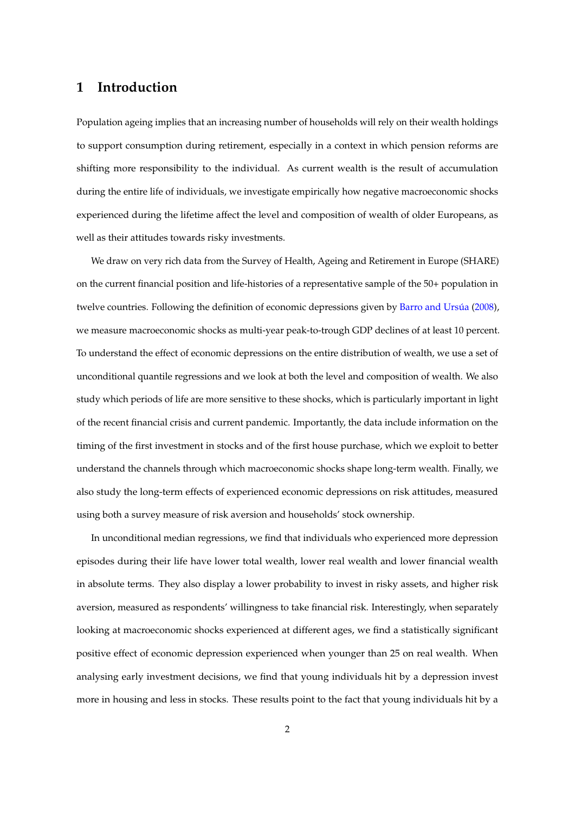### **1 Introduction**

Population ageing implies that an increasing number of households will rely on their wealth holdings to support consumption during retirement, especially in a context in which pension reforms are shifting more responsibility to the individual. As current wealth is the result of accumulation during the entire life of individuals, we investigate empirically how negative macroeconomic shocks experienced during the lifetime affect the level and composition of wealth of older Europeans, as well as their attitudes towards risky investments.

We draw on very rich data from the Survey of Health, Ageing and Retirement in Europe (SHARE) on the current financial position and life-histories of a representative sample of the 50+ population in twelve countries. Following the definition of economic depressions given by Barro and Ursúa [\(2008\)](#page-35-0), we measure macroeconomic shocks as multi-year peak-to-trough GDP declines of at least 10 percent. To understand the effect of economic depressions on the entire distribution of wealth, we use a set of unconditional quantile regressions and we look at both the level and composition of wealth. We also study which periods of life are more sensitive to these shocks, which is particularly important in light of the recent financial crisis and current pandemic. Importantly, the data include information on the timing of the first investment in stocks and of the first house purchase, which we exploit to better understand the channels through which macroeconomic shocks shape long-term wealth. Finally, we also study the long-term effects of experienced economic depressions on risk attitudes, measured using both a survey measure of risk aversion and households' stock ownership.

In unconditional median regressions, we find that individuals who experienced more depression episodes during their life have lower total wealth, lower real wealth and lower financial wealth in absolute terms. They also display a lower probability to invest in risky assets, and higher risk aversion, measured as respondents' willingness to take financial risk. Interestingly, when separately looking at macroeconomic shocks experienced at different ages, we find a statistically significant positive effect of economic depression experienced when younger than 25 on real wealth. When analysing early investment decisions, we find that young individuals hit by a depression invest more in housing and less in stocks. These results point to the fact that young individuals hit by a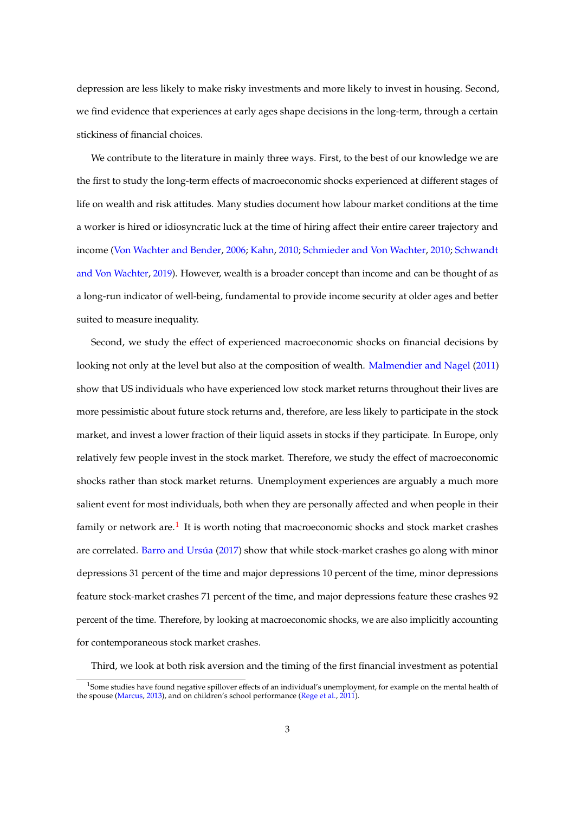depression are less likely to make risky investments and more likely to invest in housing. Second, we find evidence that experiences at early ages shape decisions in the long-term, through a certain stickiness of financial choices.

We contribute to the literature in mainly three ways. First, to the best of our knowledge we are the first to study the long-term effects of macroeconomic shocks experienced at different stages of life on wealth and risk attitudes. Many studies document how labour market conditions at the time a worker is hired or idiosyncratic luck at the time of hiring affect their entire career trajectory and income [\(Von Wachter and Bender,](#page-37-0) [2006;](#page-37-0) [Kahn,](#page-36-0) [2010;](#page-36-0) [Schmieder and Von Wachter,](#page-36-1) [2010;](#page-36-1) [Schwandt](#page-36-2) [and Von Wachter,](#page-36-2) [2019\)](#page-36-2). However, wealth is a broader concept than income and can be thought of as a long-run indicator of well-being, fundamental to provide income security at older ages and better suited to measure inequality.

Second, we study the effect of experienced macroeconomic shocks on financial decisions by looking not only at the level but also at the composition of wealth. [Malmendier and Nagel](#page-36-3) [\(2011\)](#page-36-3) show that US individuals who have experienced low stock market returns throughout their lives are more pessimistic about future stock returns and, therefore, are less likely to participate in the stock market, and invest a lower fraction of their liquid assets in stocks if they participate. In Europe, only relatively few people invest in the stock market. Therefore, we study the effect of macroeconomic shocks rather than stock market returns. Unemployment experiences are arguably a much more salient event for most individuals, both when they are personally affected and when people in their family or network are.<sup>[1](#page-2-0)</sup> It is worth noting that macroeconomic shocks and stock market crashes are correlated. Barro and Ursúa [\(2017\)](#page-35-1) show that while stock-market crashes go along with minor depressions 31 percent of the time and major depressions 10 percent of the time, minor depressions feature stock-market crashes 71 percent of the time, and major depressions feature these crashes 92 percent of the time. Therefore, by looking at macroeconomic shocks, we are also implicitly accounting for contemporaneous stock market crashes.

Third, we look at both risk aversion and the timing of the first financial investment as potential

<span id="page-2-0"></span><sup>&</sup>lt;sup>1</sup>Some studies have found negative spillover effects of an individual's unemployment, for example on the mental health of the spouse [\(Marcus,](#page-36-4) [2013\)](#page-36-4), and on children's school performance [\(Rege et al.,](#page-36-5) [2011\)](#page-36-5).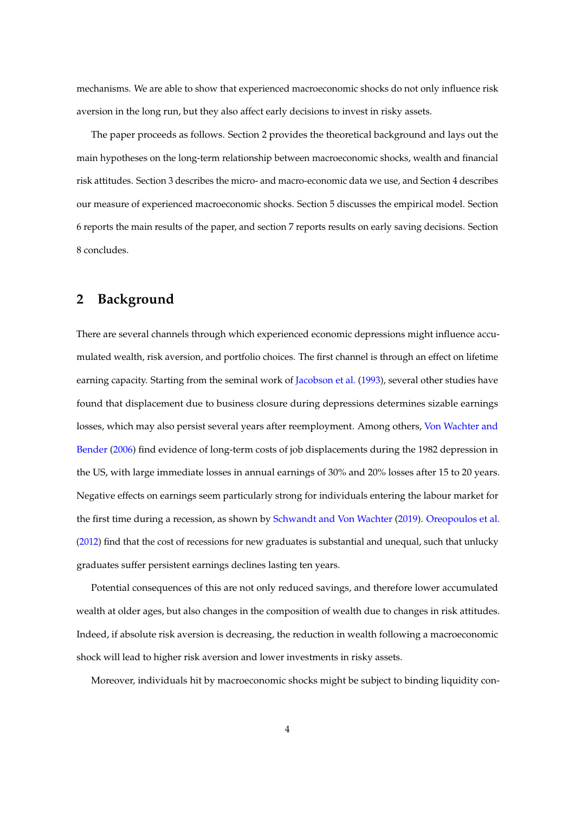mechanisms. We are able to show that experienced macroeconomic shocks do not only influence risk aversion in the long run, but they also affect early decisions to invest in risky assets.

The paper proceeds as follows. Section 2 provides the theoretical background and lays out the main hypotheses on the long-term relationship between macroeconomic shocks, wealth and financial risk attitudes. Section 3 describes the micro- and macro-economic data we use, and Section 4 describes our measure of experienced macroeconomic shocks. Section 5 discusses the empirical model. Section 6 reports the main results of the paper, and section 7 reports results on early saving decisions. Section 8 concludes.

### **2 Background**

There are several channels through which experienced economic depressions might influence accumulated wealth, risk aversion, and portfolio choices. The first channel is through an effect on lifetime earning capacity. Starting from the seminal work of [Jacobson et al.](#page-36-6) [\(1993\)](#page-36-6), several other studies have found that displacement due to business closure during depressions determines sizable earnings losses, which may also persist several years after reemployment. Among others, [Von Wachter and](#page-37-0) [Bender](#page-37-0) [\(2006\)](#page-37-0) find evidence of long-term costs of job displacements during the 1982 depression in the US, with large immediate losses in annual earnings of 30% and 20% losses after 15 to 20 years. Negative effects on earnings seem particularly strong for individuals entering the labour market for the first time during a recession, as shown by [Schwandt and Von Wachter](#page-36-2) [\(2019\)](#page-36-2). [Oreopoulos et al.](#page-36-7) [\(2012\)](#page-36-7) find that the cost of recessions for new graduates is substantial and unequal, such that unlucky graduates suffer persistent earnings declines lasting ten years.

Potential consequences of this are not only reduced savings, and therefore lower accumulated wealth at older ages, but also changes in the composition of wealth due to changes in risk attitudes. Indeed, if absolute risk aversion is decreasing, the reduction in wealth following a macroeconomic shock will lead to higher risk aversion and lower investments in risky assets.

Moreover, individuals hit by macroeconomic shocks might be subject to binding liquidity con-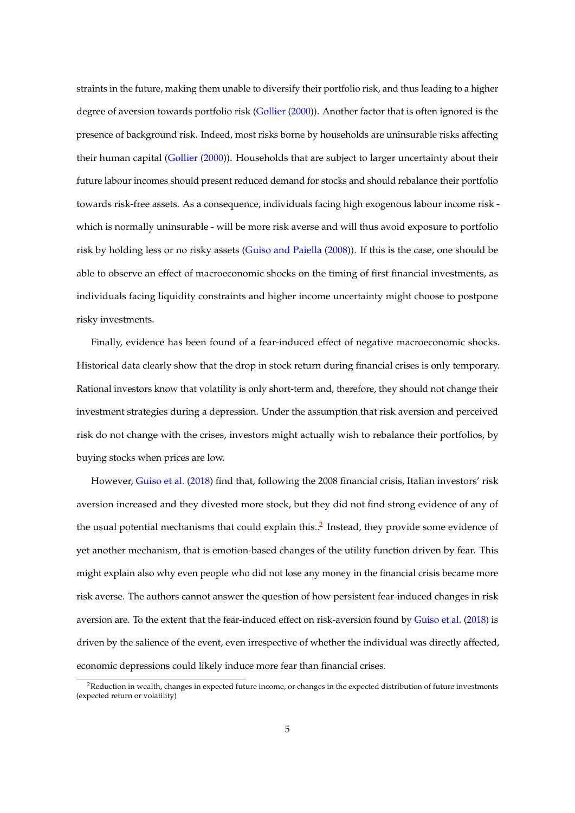straints in the future, making them unable to diversify their portfolio risk, and thus leading to a higher degree of aversion towards portfolio risk [\(Gollier](#page-35-2) [\(2000\)](#page-35-2)). Another factor that is often ignored is the presence of background risk. Indeed, most risks borne by households are uninsurable risks affecting their human capital [\(Gollier](#page-35-2) [\(2000\)](#page-35-2)). Households that are subject to larger uncertainty about their future labour incomes should present reduced demand for stocks and should rebalance their portfolio towards risk-free assets. As a consequence, individuals facing high exogenous labour income risk which is normally uninsurable - will be more risk averse and will thus avoid exposure to portfolio risk by holding less or no risky assets [\(Guiso and Paiella](#page-36-8) [\(2008\)](#page-36-8)). If this is the case, one should be able to observe an effect of macroeconomic shocks on the timing of first financial investments, as individuals facing liquidity constraints and higher income uncertainty might choose to postpone risky investments.

Finally, evidence has been found of a fear-induced effect of negative macroeconomic shocks. Historical data clearly show that the drop in stock return during financial crises is only temporary. Rational investors know that volatility is only short-term and, therefore, they should not change their investment strategies during a depression. Under the assumption that risk aversion and perceived risk do not change with the crises, investors might actually wish to rebalance their portfolios, by buying stocks when prices are low.

However, [Guiso et al.](#page-36-9) [\(2018\)](#page-36-9) find that, following the 2008 financial crisis, Italian investors' risk aversion increased and they divested more stock, but they did not find strong evidence of any of the usual potential mechanisms that could explain this..<sup>[2](#page-4-0)</sup> Instead, they provide some evidence of yet another mechanism, that is emotion-based changes of the utility function driven by fear. This might explain also why even people who did not lose any money in the financial crisis became more risk averse. The authors cannot answer the question of how persistent fear-induced changes in risk aversion are. To the extent that the fear-induced effect on risk-aversion found by [Guiso et al.](#page-36-9) [\(2018\)](#page-36-9) is driven by the salience of the event, even irrespective of whether the individual was directly affected, economic depressions could likely induce more fear than financial crises.

<span id="page-4-0"></span><sup>&</sup>lt;sup>2</sup>Reduction in wealth, changes in expected future income, or changes in the expected distribution of future investments (expected return or volatility)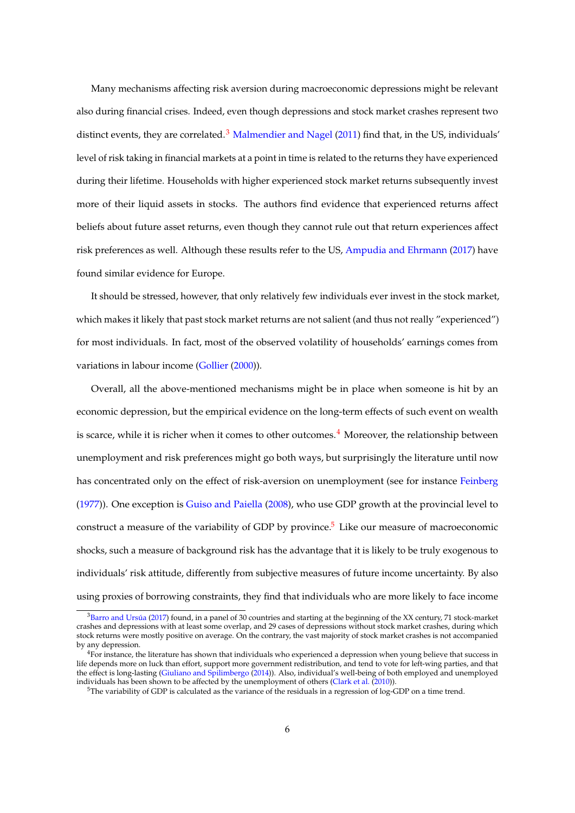Many mechanisms affecting risk aversion during macroeconomic depressions might be relevant also during financial crises. Indeed, even though depressions and stock market crashes represent two distinct events, they are correlated.<sup>[3](#page-5-0)</sup> [Malmendier and Nagel](#page-36-3) [\(2011\)](#page-36-3) find that, in the US, individuals' level of risk taking in financial markets at a point in time is related to the returns they have experienced during their lifetime. Households with higher experienced stock market returns subsequently invest more of their liquid assets in stocks. The authors find evidence that experienced returns affect beliefs about future asset returns, even though they cannot rule out that return experiences affect risk preferences as well. Although these results refer to the US, [Ampudia and Ehrmann](#page-35-3) [\(2017\)](#page-35-3) have found similar evidence for Europe.

It should be stressed, however, that only relatively few individuals ever invest in the stock market, which makes it likely that past stock market returns are not salient (and thus not really "experienced") for most individuals. In fact, most of the observed volatility of households' earnings comes from variations in labour income [\(Gollier](#page-35-2) [\(2000\)](#page-35-2)).

Overall, all the above-mentioned mechanisms might be in place when someone is hit by an economic depression, but the empirical evidence on the long-term effects of such event on wealth is scarce, while it is richer when it comes to other outcomes. $4$  Moreover, the relationship between unemployment and risk preferences might go both ways, but surprisingly the literature until now has concentrated only on the effect of risk-aversion on unemployment (see for instance [Feinberg](#page-35-4) [\(1977\)](#page-35-4)). One exception is [Guiso and Paiella](#page-36-8) [\(2008\)](#page-36-8), who use GDP growth at the provincial level to construct a measure of the variability of GDP by province.<sup>[5](#page-5-2)</sup> Like our measure of macroeconomic shocks, such a measure of background risk has the advantage that it is likely to be truly exogenous to individuals' risk attitude, differently from subjective measures of future income uncertainty. By also using proxies of borrowing constraints, they find that individuals who are more likely to face income

<span id="page-5-0"></span> $3$ Barro and Ursúa [\(2017\)](#page-35-1) found, in a panel of 30 countries and starting at the beginning of the XX century, 71 stock-market crashes and depressions with at least some overlap, and 29 cases of depressions without stock market crashes, during which stock returns were mostly positive on average. On the contrary, the vast majority of stock market crashes is not accompanied by any depression.

<span id="page-5-1"></span><sup>&</sup>lt;sup>4</sup>For instance, the literature has shown that individuals who experienced a depression when young believe that success in life depends more on luck than effort, support more government redistribution, and tend to vote for left-wing parties, and that the effect is long-lasting [\(Giuliano and Spilimbergo](#page-35-5) [\(2014\)](#page-35-5)). Also, individual's well-being of both employed and unemployed individuals has been shown to be affected by the unemployment of others [\(Clark et al.](#page-35-6) [\(2010\)](#page-35-6)).

<span id="page-5-2"></span><sup>5</sup>The variability of GDP is calculated as the variance of the residuals in a regression of log-GDP on a time trend.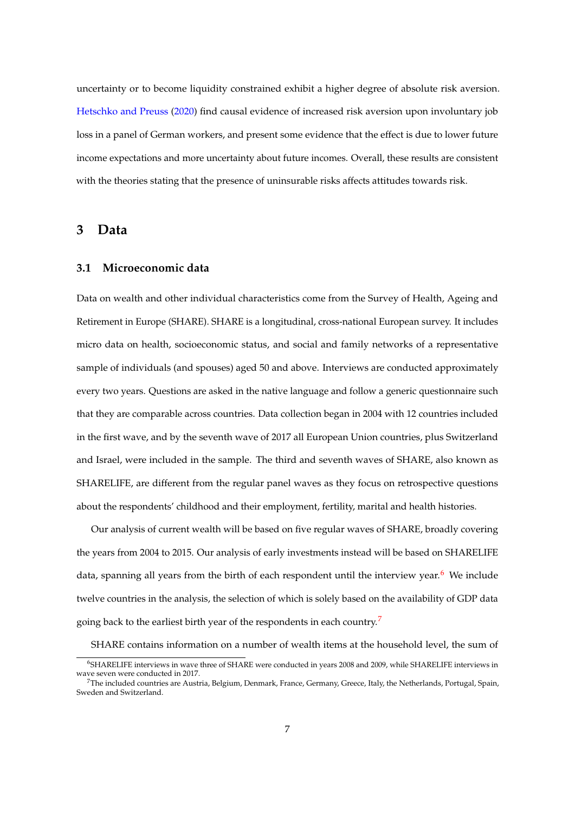uncertainty or to become liquidity constrained exhibit a higher degree of absolute risk aversion. [Hetschko and Preuss](#page-36-10) [\(2020\)](#page-36-10) find causal evidence of increased risk aversion upon involuntary job loss in a panel of German workers, and present some evidence that the effect is due to lower future income expectations and more uncertainty about future incomes. Overall, these results are consistent with the theories stating that the presence of uninsurable risks affects attitudes towards risk.

### **3 Data**

#### **3.1 Microeconomic data**

Data on wealth and other individual characteristics come from the Survey of Health, Ageing and Retirement in Europe (SHARE). SHARE is a longitudinal, cross-national European survey. It includes micro data on health, socioeconomic status, and social and family networks of a representative sample of individuals (and spouses) aged 50 and above. Interviews are conducted approximately every two years. Questions are asked in the native language and follow a generic questionnaire such that they are comparable across countries. Data collection began in 2004 with 12 countries included in the first wave, and by the seventh wave of 2017 all European Union countries, plus Switzerland and Israel, were included in the sample. The third and seventh waves of SHARE, also known as SHARELIFE, are different from the regular panel waves as they focus on retrospective questions about the respondents' childhood and their employment, fertility, marital and health histories.

Our analysis of current wealth will be based on five regular waves of SHARE, broadly covering the years from 2004 to 2015. Our analysis of early investments instead will be based on SHARELIFE data, spanning all years from the birth of each respondent until the interview year. $6$  We include twelve countries in the analysis, the selection of which is solely based on the availability of GDP data going back to the earliest birth year of the respondents in each country.<sup>[7](#page-6-1)</sup>

SHARE contains information on a number of wealth items at the household level, the sum of

<span id="page-6-0"></span><sup>6</sup>SHARELIFE interviews in wave three of SHARE were conducted in years 2008 and 2009, while SHARELIFE interviews in wave seven were conducted in 2017. <sup>7</sup>The included countries are Austria, Belgium, Denmark, France, Germany, Greece, Italy, the Netherlands, Portugal, Spain,

<span id="page-6-1"></span>Sweden and Switzerland.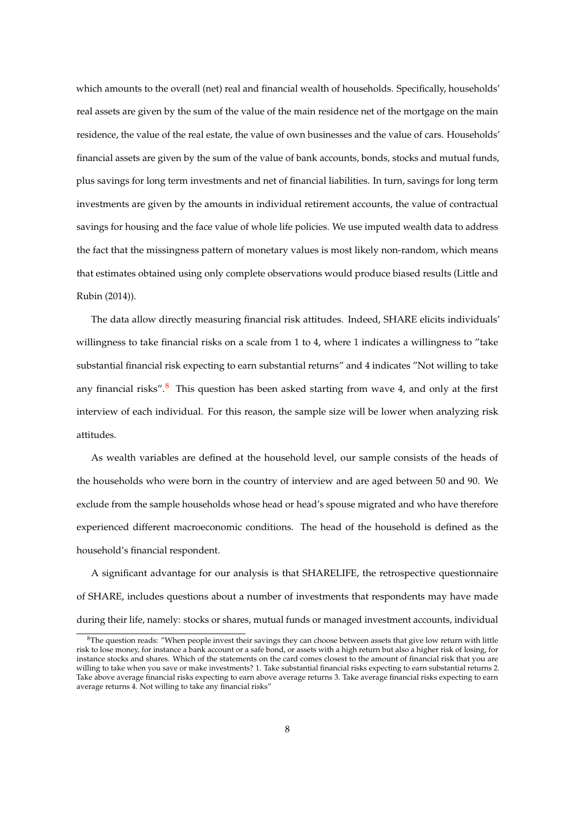which amounts to the overall (net) real and financial wealth of households. Specifically, households' real assets are given by the sum of the value of the main residence net of the mortgage on the main residence, the value of the real estate, the value of own businesses and the value of cars. Households' financial assets are given by the sum of the value of bank accounts, bonds, stocks and mutual funds, plus savings for long term investments and net of financial liabilities. In turn, savings for long term investments are given by the amounts in individual retirement accounts, the value of contractual savings for housing and the face value of whole life policies. We use imputed wealth data to address the fact that the missingness pattern of monetary values is most likely non-random, which means that estimates obtained using only complete observations would produce biased results (Little and Rubin (2014)).

The data allow directly measuring financial risk attitudes. Indeed, SHARE elicits individuals' willingness to take financial risks on a scale from 1 to 4, where 1 indicates a willingness to "take substantial financial risk expecting to earn substantial returns" and 4 indicates "Not willing to take any financial risks". $8\%$  $8\%$  This question has been asked starting from wave 4, and only at the first interview of each individual. For this reason, the sample size will be lower when analyzing risk attitudes.

As wealth variables are defined at the household level, our sample consists of the heads of the households who were born in the country of interview and are aged between 50 and 90. We exclude from the sample households whose head or head's spouse migrated and who have therefore experienced different macroeconomic conditions. The head of the household is defined as the household's financial respondent.

A significant advantage for our analysis is that SHARELIFE, the retrospective questionnaire of SHARE, includes questions about a number of investments that respondents may have made during their life, namely: stocks or shares, mutual funds or managed investment accounts, individual

<span id="page-7-0"></span><sup>&</sup>lt;sup>8</sup>The question reads: "When people invest their savings they can choose between assets that give low return with little risk to lose money, for instance a bank account or a safe bond, or assets with a high return but also a higher risk of losing, for instance stocks and shares. Which of the statements on the card comes closest to the amount of financial risk that you are willing to take when you save or make investments? 1. Take substantial financial risks expecting to earn substantial returns 2. Take above average financial risks expecting to earn above average returns 3. Take average financial risks expecting to earn average returns 4. Not willing to take any financial risks"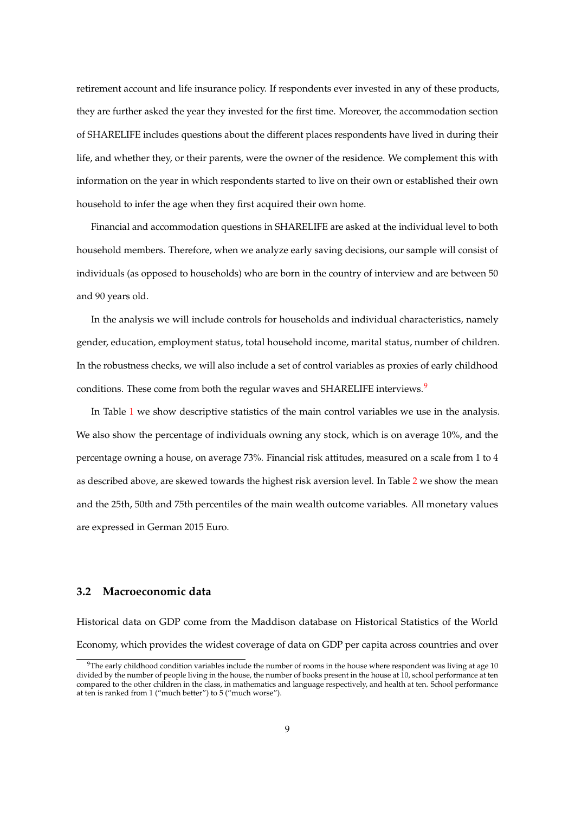retirement account and life insurance policy. If respondents ever invested in any of these products, they are further asked the year they invested for the first time. Moreover, the accommodation section of SHARELIFE includes questions about the different places respondents have lived in during their life, and whether they, or their parents, were the owner of the residence. We complement this with information on the year in which respondents started to live on their own or established their own household to infer the age when they first acquired their own home.

Financial and accommodation questions in SHARELIFE are asked at the individual level to both household members. Therefore, when we analyze early saving decisions, our sample will consist of individuals (as opposed to households) who are born in the country of interview and are between 50 and 90 years old.

In the analysis we will include controls for households and individual characteristics, namely gender, education, employment status, total household income, marital status, number of children. In the robustness checks, we will also include a set of control variables as proxies of early childhood conditions. These come from both the regular waves and SHARELIFE interviews.<sup>[9](#page-8-0)</sup>

In Table [1](#page-19-0) we show descriptive statistics of the main control variables we use in the analysis. We also show the percentage of individuals owning any stock, which is on average 10%, and the percentage owning a house, on average 73%. Financial risk attitudes, measured on a scale from 1 to 4 as described above, are skewed towards the highest risk aversion level. In Table [2](#page-20-0) we show the mean and the 25th, 50th and 75th percentiles of the main wealth outcome variables. All monetary values are expressed in German 2015 Euro.

#### **3.2 Macroeconomic data**

Historical data on GDP come from the Maddison database on Historical Statistics of the World Economy, which provides the widest coverage of data on GDP per capita across countries and over

<span id="page-8-0"></span> $9$ The early childhood condition variables include the number of rooms in the house where respondent was living at age 10 divided by the number of people living in the house, the number of books present in the house at 10, school performance at ten compared to the other children in the class, in mathematics and language respectively, and health at ten. School performance at ten is ranked from 1 ("much better") to 5 ("much worse").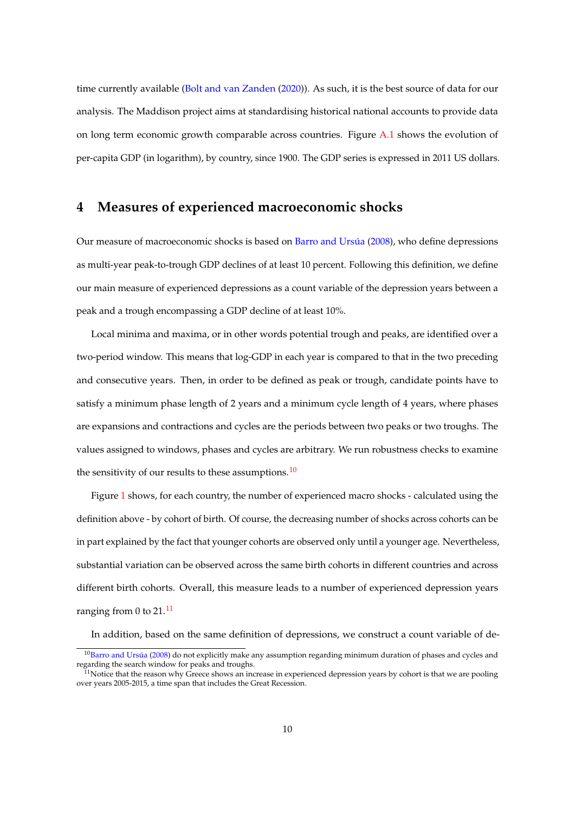time currently available [\(Bolt and van Zanden](#page-35-7) [\(2020\)](#page-35-7)). As such, it is the best source of data for our analysis. The Maddison project aims at standardising historical national accounts to provide data on long term economic growth comparable across countries. Figure [A.1](#page-33-0) shows the evolution of per-capita GDP (in logarithm), by country, since 1900. The GDP series is expressed in 2011 US dollars.

### **4 Measures of experienced macroeconomic shocks**

Our measure of macroeconomic shocks is based on Barro and Ursúa [\(2008\)](#page-35-0), who define depressions as multi-year peak-to-trough GDP declines of at least 10 percent. Following this definition, we define our main measure of experienced depressions as a count variable of the depression years between a peak and a trough encompassing a GDP decline of at least 10%.

Local minima and maxima, or in other words potential trough and peaks, are identified over a two-period window. This means that log-GDP in each year is compared to that in the two preceding and consecutive years. Then, in order to be defined as peak or trough, candidate points have to satisfy a minimum phase length of 2 years and a minimum cycle length of 4 years, where phases are expansions and contractions and cycles are the periods between two peaks or two troughs. The values assigned to windows, phases and cycles are arbitrary. We run robustness checks to examine the sensitivity of our results to these assumptions.<sup>[10](#page-9-0)</sup>

Figure [1](#page-19-1) shows, for each country, the number of experienced macro shocks - calculated using the definition above - by cohort of birth. Of course, the decreasing number of shocks across cohorts can be in part explained by the fact that younger cohorts are observed only until a younger age. Nevertheless, substantial variation can be observed across the same birth cohorts in different countries and across different birth cohorts. Overall, this measure leads to a number of experienced depression years ranging from 0 to  $21.<sup>11</sup>$  $21.<sup>11</sup>$  $21.<sup>11</sup>$ 

In addition, based on the same definition of depressions, we construct a count variable of de-

<span id="page-9-0"></span> $10$ Barro and Ursúa [\(2008\)](#page-35-0) do not explicitly make any assumption regarding minimum duration of phases and cycles and regarding the search window for peaks and troughs.

<span id="page-9-1"></span> $11$ Notice that the reason why Greece shows an increase in experienced depression years by cohort is that we are pooling over years 2005-2015, a time span that includes the Great Recession.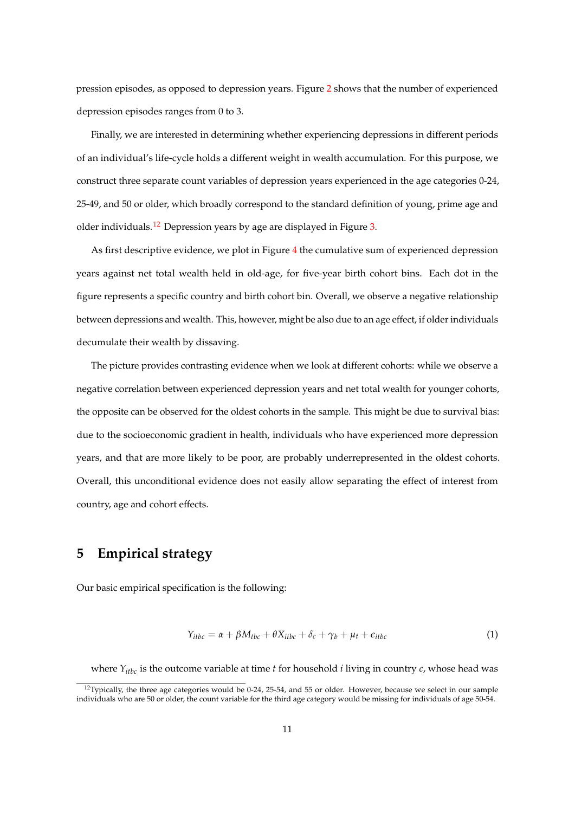pression episodes, as opposed to depression years. Figure [2](#page-20-1) shows that the number of experienced depression episodes ranges from 0 to 3.

Finally, we are interested in determining whether experiencing depressions in different periods of an individual's life-cycle holds a different weight in wealth accumulation. For this purpose, we construct three separate count variables of depression years experienced in the age categories 0-24, 25-49, and 50 or older, which broadly correspond to the standard definition of young, prime age and older individuals.<sup>[12](#page-10-0)</sup> Depression years by age are displayed in Figure [3.](#page-21-0)

As first descriptive evidence, we plot in Figure [4](#page-22-0) the cumulative sum of experienced depression years against net total wealth held in old-age, for five-year birth cohort bins. Each dot in the figure represents a specific country and birth cohort bin. Overall, we observe a negative relationship between depressions and wealth. This, however, might be also due to an age effect, if older individuals decumulate their wealth by dissaving.

The picture provides contrasting evidence when we look at different cohorts: while we observe a negative correlation between experienced depression years and net total wealth for younger cohorts, the opposite can be observed for the oldest cohorts in the sample. This might be due to survival bias: due to the socioeconomic gradient in health, individuals who have experienced more depression years, and that are more likely to be poor, are probably underrepresented in the oldest cohorts. Overall, this unconditional evidence does not easily allow separating the effect of interest from country, age and cohort effects.

### **5 Empirical strategy**

Our basic empirical specification is the following:

$$
Y_{itbc} = \alpha + \beta M_{tbc} + \theta X_{itbc} + \delta_c + \gamma_b + \mu_t + \epsilon_{itbc}
$$
 (1)

where *Yitbc* is the outcome variable at time *t* for household *i* living in country *c*, whose head was

<span id="page-10-0"></span><sup>&</sup>lt;sup>12</sup>Typically, the three age categories would be 0-24, 25-54, and 55 or older. However, because we select in our sample individuals who are 50 or older, the count variable for the third age category would be missing for individuals of age 50-54.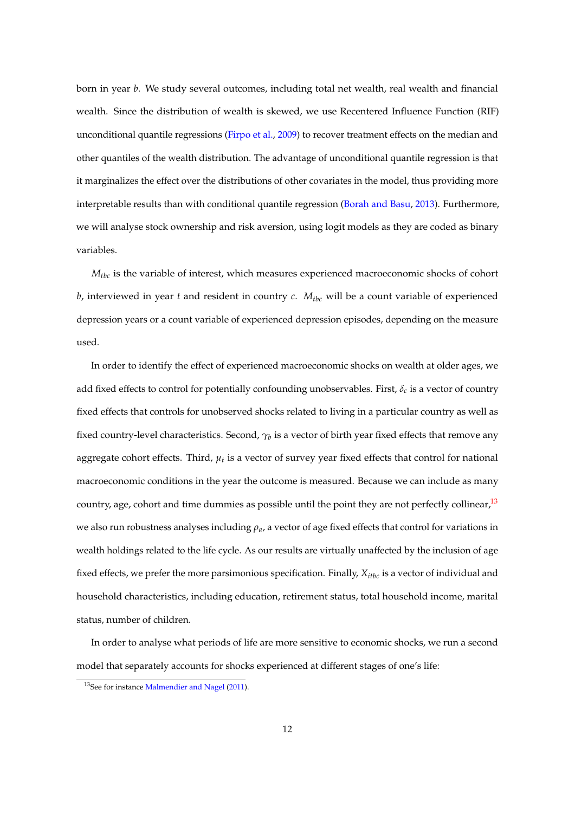born in year *b*. We study several outcomes, including total net wealth, real wealth and financial wealth. Since the distribution of wealth is skewed, we use Recentered Influence Function (RIF) unconditional quantile regressions [\(Firpo et al.,](#page-35-8) [2009\)](#page-35-8) to recover treatment effects on the median and other quantiles of the wealth distribution. The advantage of unconditional quantile regression is that it marginalizes the effect over the distributions of other covariates in the model, thus providing more interpretable results than with conditional quantile regression [\(Borah and Basu,](#page-35-9) [2013\)](#page-35-9). Furthermore, we will analyse stock ownership and risk aversion, using logit models as they are coded as binary variables.

*Mtbc* is the variable of interest, which measures experienced macroeconomic shocks of cohort *b*, interviewed in year *t* and resident in country *c*.  $M_{tbc}$  will be a count variable of experienced depression years or a count variable of experienced depression episodes, depending on the measure used.

In order to identify the effect of experienced macroeconomic shocks on wealth at older ages, we add fixed effects to control for potentially confounding unobservables. First, *δc* is a vector of country fixed effects that controls for unobserved shocks related to living in a particular country as well as fixed country-level characteristics. Second,  $\gamma_b$  is a vector of birth year fixed effects that remove any aggregate cohort effects. Third, *µ<sup>t</sup>* is a vector of survey year fixed effects that control for national macroeconomic conditions in the year the outcome is measured. Because we can include as many country, age, cohort and time dummies as possible until the point they are not perfectly collinear,  $13$ we also run robustness analyses including *ρa*, a vector of age fixed effects that control for variations in wealth holdings related to the life cycle. As our results are virtually unaffected by the inclusion of age fixed effects, we prefer the more parsimonious specification. Finally,  $X_{itbc}$  is a vector of individual and household characteristics, including education, retirement status, total household income, marital status, number of children.

In order to analyse what periods of life are more sensitive to economic shocks, we run a second model that separately accounts for shocks experienced at different stages of one's life:

<span id="page-11-0"></span><sup>13</sup>See for instance [Malmendier and Nagel](#page-36-3) [\(2011\)](#page-36-3).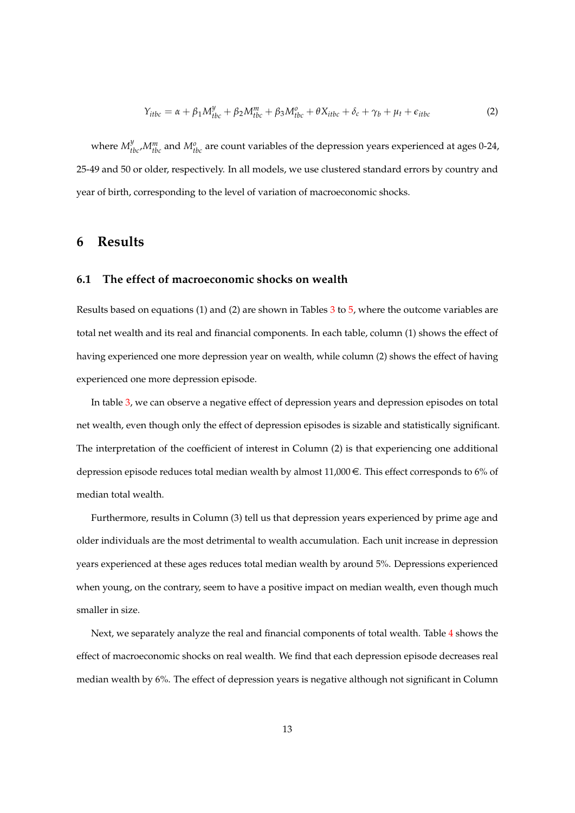$$
Y_{itbc} = \alpha + \beta_1 M_{tbc}^y + \beta_2 M_{tbc}^m + \beta_3 M_{tbc}^o + \theta X_{itbc} + \delta_c + \gamma_b + \mu_t + \epsilon_{itbc}
$$
 (2)

where  $M_{tbc}^y M_{tbc}^m$  and  $M_{tbc}^o$  are count variables of the depression years experienced at ages 0-24, 25-49 and 50 or older, respectively. In all models, we use clustered standard errors by country and year of birth, corresponding to the level of variation of macroeconomic shocks.

### **6 Results**

#### **6.1 The effect of macroeconomic shocks on wealth**

Results based on equations (1) and (2) are shown in Tables [3](#page-26-0) to [5,](#page-28-0) where the outcome variables are total net wealth and its real and financial components. In each table, column (1) shows the effect of having experienced one more depression year on wealth, while column (2) shows the effect of having experienced one more depression episode.

In table [3,](#page-26-0) we can observe a negative effect of depression years and depression episodes on total net wealth, even though only the effect of depression episodes is sizable and statistically significant. The interpretation of the coefficient of interest in Column (2) is that experiencing one additional depression episode reduces total median wealth by almost 11,000 $\in$ . This effect corresponds to 6% of median total wealth.

Furthermore, results in Column (3) tell us that depression years experienced by prime age and older individuals are the most detrimental to wealth accumulation. Each unit increase in depression years experienced at these ages reduces total median wealth by around 5%. Depressions experienced when young, on the contrary, seem to have a positive impact on median wealth, even though much smaller in size.

Next, we separately analyze the real and financial components of total wealth. Table [4](#page-27-0) shows the effect of macroeconomic shocks on real wealth. We find that each depression episode decreases real median wealth by 6%. The effect of depression years is negative although not significant in Column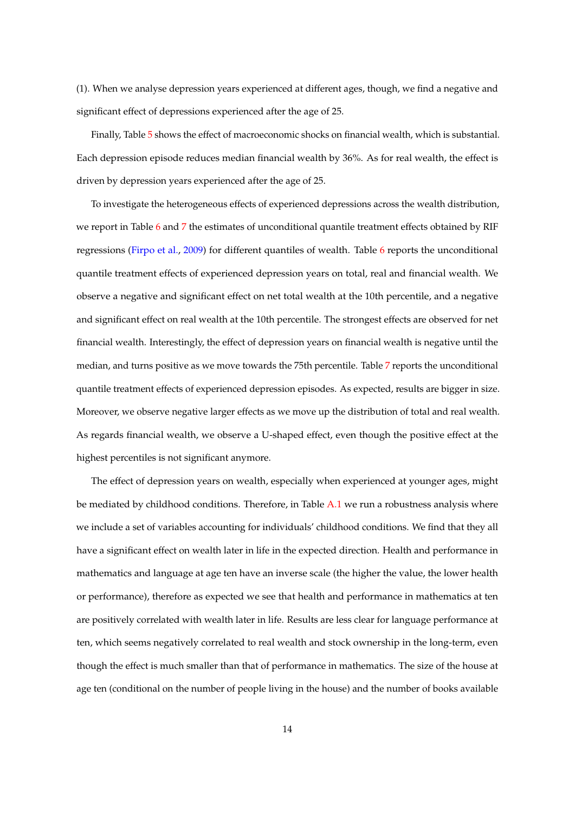(1). When we analyse depression years experienced at different ages, though, we find a negative and significant effect of depressions experienced after the age of 25.

Finally, Table [5](#page-28-0) shows the effect of macroeconomic shocks on financial wealth, which is substantial. Each depression episode reduces median financial wealth by 36%. As for real wealth, the effect is driven by depression years experienced after the age of 25.

To investigate the heterogeneous effects of experienced depressions across the wealth distribution, we report in Table [6](#page-29-0) and [7](#page-29-1) the estimates of unconditional quantile treatment effects obtained by RIF regressions [\(Firpo et al.,](#page-35-8) [2009\)](#page-35-8) for different quantiles of wealth. Table [6](#page-29-0) reports the unconditional quantile treatment effects of experienced depression years on total, real and financial wealth. We observe a negative and significant effect on net total wealth at the 10th percentile, and a negative and significant effect on real wealth at the 10th percentile. The strongest effects are observed for net financial wealth. Interestingly, the effect of depression years on financial wealth is negative until the median, and turns positive as we move towards the 75th percentile. Table [7](#page-29-1) reports the unconditional quantile treatment effects of experienced depression episodes. As expected, results are bigger in size. Moreover, we observe negative larger effects as we move up the distribution of total and real wealth. As regards financial wealth, we observe a U-shaped effect, even though the positive effect at the highest percentiles is not significant anymore.

The effect of depression years on wealth, especially when experienced at younger ages, might be mediated by childhood conditions. Therefore, in Table [A.1](#page-34-0) we run a robustness analysis where we include a set of variables accounting for individuals' childhood conditions. We find that they all have a significant effect on wealth later in life in the expected direction. Health and performance in mathematics and language at age ten have an inverse scale (the higher the value, the lower health or performance), therefore as expected we see that health and performance in mathematics at ten are positively correlated with wealth later in life. Results are less clear for language performance at ten, which seems negatively correlated to real wealth and stock ownership in the long-term, even though the effect is much smaller than that of performance in mathematics. The size of the house at age ten (conditional on the number of people living in the house) and the number of books available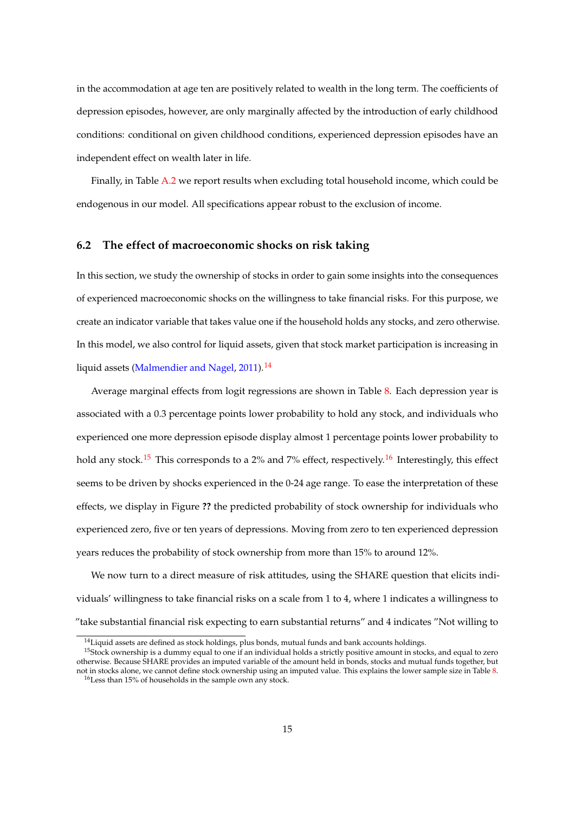in the accommodation at age ten are positively related to wealth in the long term. The coefficients of depression episodes, however, are only marginally affected by the introduction of early childhood conditions: conditional on given childhood conditions, experienced depression episodes have an independent effect on wealth later in life.

Finally, in Table [A.2](#page-34-1) we report results when excluding total household income, which could be endogenous in our model. All specifications appear robust to the exclusion of income.

#### **6.2 The effect of macroeconomic shocks on risk taking**

In this section, we study the ownership of stocks in order to gain some insights into the consequences of experienced macroeconomic shocks on the willingness to take financial risks. For this purpose, we create an indicator variable that takes value one if the household holds any stocks, and zero otherwise. In this model, we also control for liquid assets, given that stock market participation is increasing in liquid assets [\(Malmendier and Nagel,](#page-36-3) [2011\)](#page-36-3).<sup>[14](#page-14-0)</sup>

Average marginal effects from logit regressions are shown in Table [8.](#page-30-0) Each depression year is associated with a 0.3 percentage points lower probability to hold any stock, and individuals who experienced one more depression episode display almost 1 percentage points lower probability to hold any stock.<sup>[15](#page-14-1)</sup> This corresponds to a 2% and 7% effect, respectively.<sup>[16](#page-14-2)</sup> Interestingly, this effect seems to be driven by shocks experienced in the 0-24 age range. To ease the interpretation of these effects, we display in Figure **??** the predicted probability of stock ownership for individuals who experienced zero, five or ten years of depressions. Moving from zero to ten experienced depression years reduces the probability of stock ownership from more than 15% to around 12%.

We now turn to a direct measure of risk attitudes, using the SHARE question that elicits individuals' willingness to take financial risks on a scale from 1 to 4, where 1 indicates a willingness to "take substantial financial risk expecting to earn substantial returns" and 4 indicates "Not willing to

<span id="page-14-1"></span><span id="page-14-0"></span><sup>&</sup>lt;sup>14</sup> Liquid assets are defined as stock holdings, plus bonds, mutual funds and bank accounts holdings.

<span id="page-14-2"></span><sup>&</sup>lt;sup>15</sup>Stock ownership is a dummy equal to one if an individual holds a strictly positive amount in stocks, and equal to zero otherwise. Because SHARE provides an imputed variable of the amount held in bonds, stocks and mutual funds together, but not in stocks alone, we cannot define stock ownership using an imputed value. This explains the lower sample size in Table [8.](#page-30-0) <sup>16</sup>Less than 15% of households in the sample own any stock.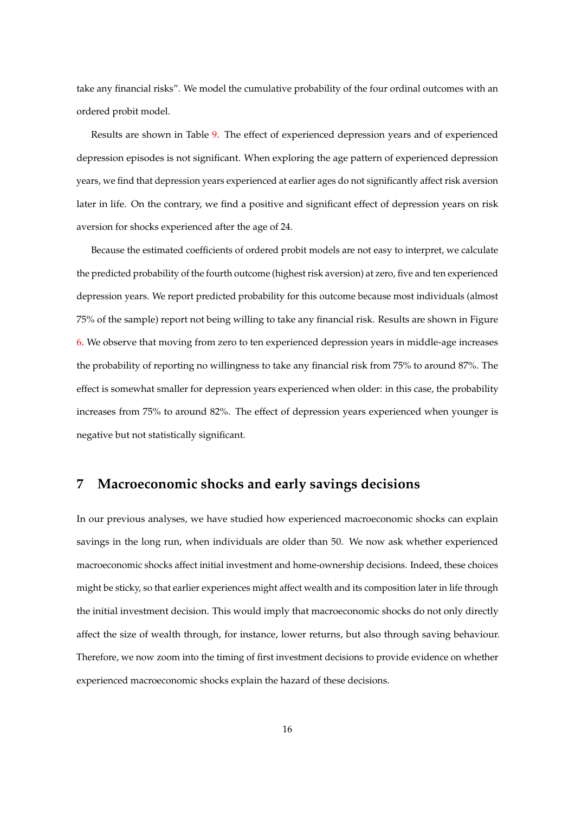take any financial risks". We model the cumulative probability of the four ordinal outcomes with an ordered probit model.

Results are shown in Table [9.](#page-30-1) The effect of experienced depression years and of experienced depression episodes is not significant. When exploring the age pattern of experienced depression years, we find that depression years experienced at earlier ages do not significantly affect risk aversion later in life. On the contrary, we find a positive and significant effect of depression years on risk aversion for shocks experienced after the age of 24.

Because the estimated coefficients of ordered probit models are not easy to interpret, we calculate the predicted probability of the fourth outcome (highest risk aversion) at zero, five and ten experienced depression years. We report predicted probability for this outcome because most individuals (almost 75% of the sample) report not being willing to take any financial risk. Results are shown in Figure [6.](#page-24-0) We observe that moving from zero to ten experienced depression years in middle-age increases the probability of reporting no willingness to take any financial risk from 75% to around 87%. The effect is somewhat smaller for depression years experienced when older: in this case, the probability increases from 75% to around 82%. The effect of depression years experienced when younger is negative but not statistically significant.

### **7 Macroeconomic shocks and early savings decisions**

In our previous analyses, we have studied how experienced macroeconomic shocks can explain savings in the long run, when individuals are older than 50. We now ask whether experienced macroeconomic shocks affect initial investment and home-ownership decisions. Indeed, these choices might be sticky, so that earlier experiences might affect wealth and its composition later in life through the initial investment decision. This would imply that macroeconomic shocks do not only directly affect the size of wealth through, for instance, lower returns, but also through saving behaviour. Therefore, we now zoom into the timing of first investment decisions to provide evidence on whether experienced macroeconomic shocks explain the hazard of these decisions.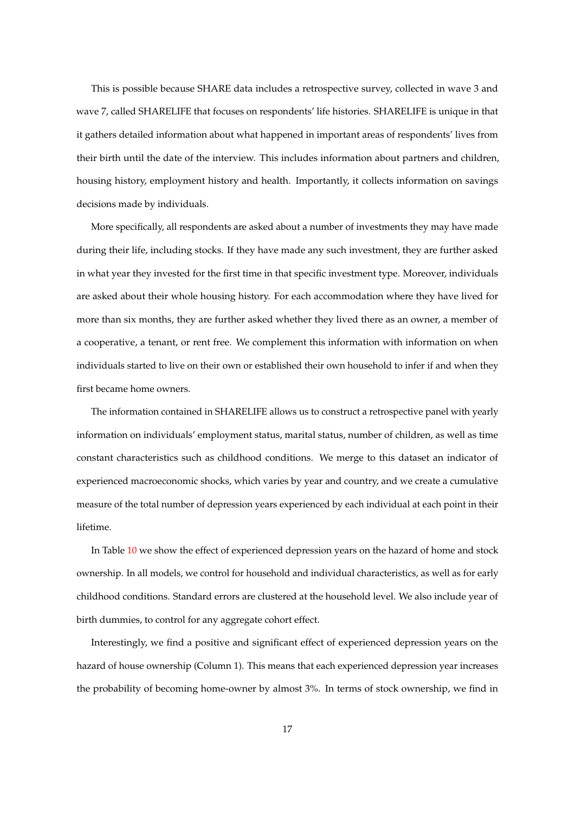This is possible because SHARE data includes a retrospective survey, collected in wave 3 and wave 7, called SHARELIFE that focuses on respondents' life histories. SHARELIFE is unique in that it gathers detailed information about what happened in important areas of respondents' lives from their birth until the date of the interview. This includes information about partners and children, housing history, employment history and health. Importantly, it collects information on savings decisions made by individuals.

More specifically, all respondents are asked about a number of investments they may have made during their life, including stocks. If they have made any such investment, they are further asked in what year they invested for the first time in that specific investment type. Moreover, individuals are asked about their whole housing history. For each accommodation where they have lived for more than six months, they are further asked whether they lived there as an owner, a member of a cooperative, a tenant, or rent free. We complement this information with information on when individuals started to live on their own or established their own household to infer if and when they first became home owners.

The information contained in SHARELIFE allows us to construct a retrospective panel with yearly information on individuals' employment status, marital status, number of children, as well as time constant characteristics such as childhood conditions. We merge to this dataset an indicator of experienced macroeconomic shocks, which varies by year and country, and we create a cumulative measure of the total number of depression years experienced by each individual at each point in their lifetime.

In Table [10](#page-31-0) we show the effect of experienced depression years on the hazard of home and stock ownership. In all models, we control for household and individual characteristics, as well as for early childhood conditions. Standard errors are clustered at the household level. We also include year of birth dummies, to control for any aggregate cohort effect.

Interestingly, we find a positive and significant effect of experienced depression years on the hazard of house ownership (Column 1). This means that each experienced depression year increases the probability of becoming home-owner by almost 3%. In terms of stock ownership, we find in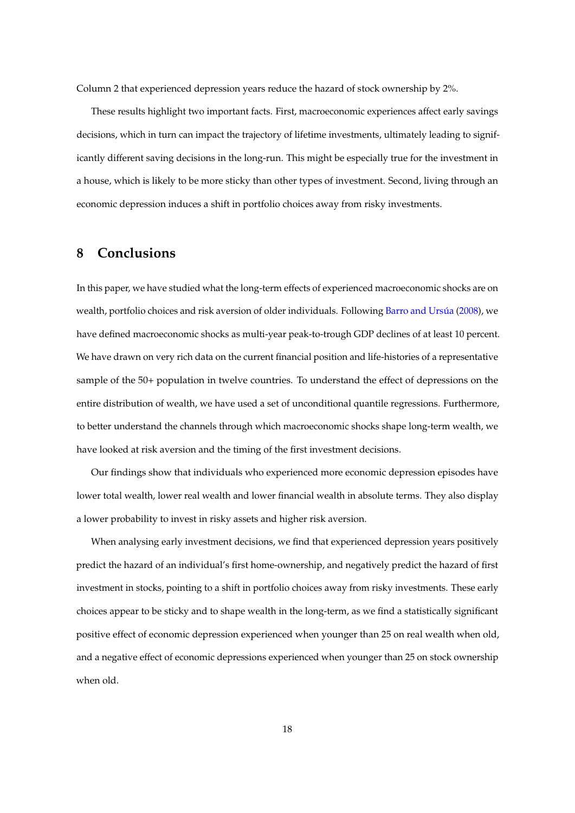Column 2 that experienced depression years reduce the hazard of stock ownership by 2%.

These results highlight two important facts. First, macroeconomic experiences affect early savings decisions, which in turn can impact the trajectory of lifetime investments, ultimately leading to significantly different saving decisions in the long-run. This might be especially true for the investment in a house, which is likely to be more sticky than other types of investment. Second, living through an economic depression induces a shift in portfolio choices away from risky investments.

### **8 Conclusions**

In this paper, we have studied what the long-term effects of experienced macroeconomic shocks are on wealth, portfolio choices and risk aversion of older individuals. Following Barro and Ursúa [\(2008\)](#page-35-0), we have defined macroeconomic shocks as multi-year peak-to-trough GDP declines of at least 10 percent. We have drawn on very rich data on the current financial position and life-histories of a representative sample of the 50+ population in twelve countries. To understand the effect of depressions on the entire distribution of wealth, we have used a set of unconditional quantile regressions. Furthermore, to better understand the channels through which macroeconomic shocks shape long-term wealth, we have looked at risk aversion and the timing of the first investment decisions.

Our findings show that individuals who experienced more economic depression episodes have lower total wealth, lower real wealth and lower financial wealth in absolute terms. They also display a lower probability to invest in risky assets and higher risk aversion.

When analysing early investment decisions, we find that experienced depression years positively predict the hazard of an individual's first home-ownership, and negatively predict the hazard of first investment in stocks, pointing to a shift in portfolio choices away from risky investments. These early choices appear to be sticky and to shape wealth in the long-term, as we find a statistically significant positive effect of economic depression experienced when younger than 25 on real wealth when old, and a negative effect of economic depressions experienced when younger than 25 on stock ownership when old.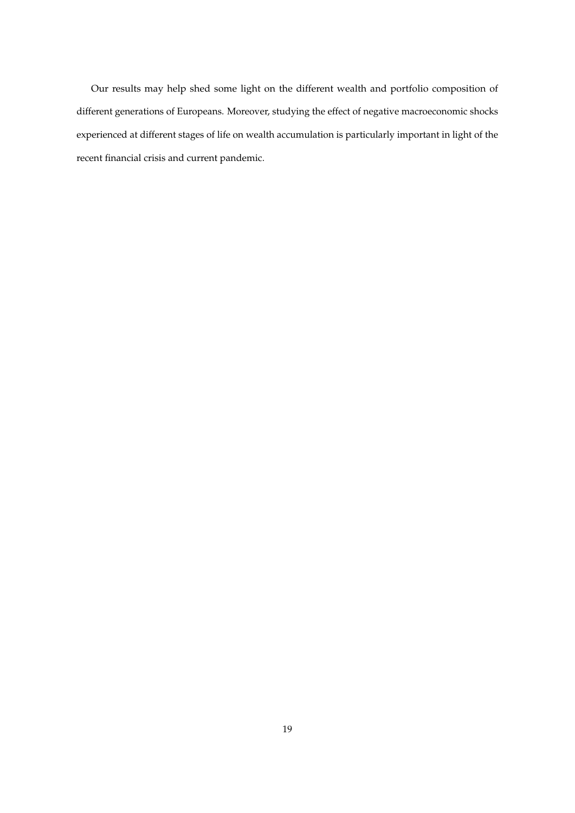Our results may help shed some light on the different wealth and portfolio composition of different generations of Europeans. Moreover, studying the effect of negative macroeconomic shocks experienced at different stages of life on wealth accumulation is particularly important in light of the recent financial crisis and current pandemic.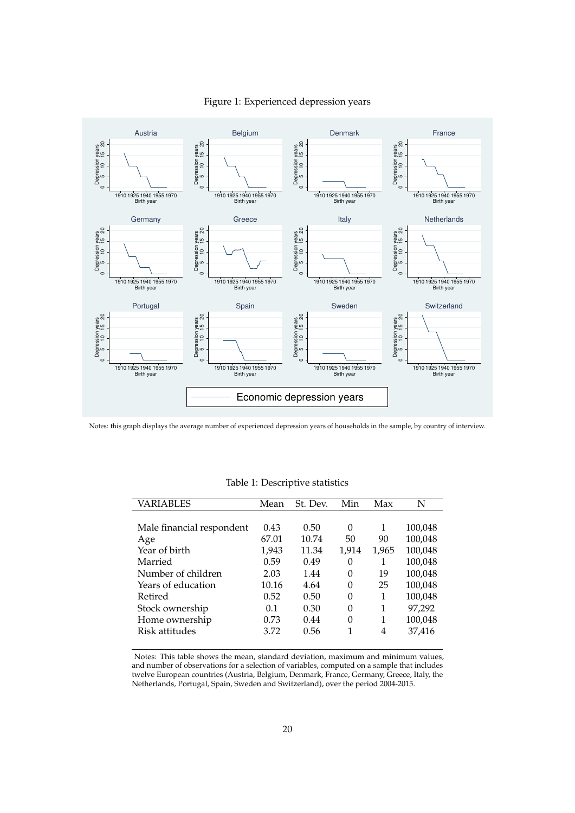### Figure 1: Experienced depression years

<span id="page-19-1"></span>

<span id="page-19-0"></span>Notes: this graph displays the average number of experienced depression years of households in the sample, by country of interview.

| VARIABLES                 | Mean  | St. Dev. | Min      | Max   | N       |
|---------------------------|-------|----------|----------|-------|---------|
|                           |       |          |          |       |         |
| Male financial respondent | 0.43  | 0.50     | $\theta$ | 1     | 100,048 |
| Age                       | 67.01 | 10.74    | 50       | 90    | 100,048 |
| Year of birth             | 1,943 | 11.34    | 1,914    | 1,965 | 100,048 |
| Married                   | 0.59  | 0.49     | 0        | 1     | 100,048 |
| Number of children        | 2.03  | 1.44     | 0        | 19    | 100,048 |
| Years of education        | 10.16 | 4.64     | 0        | 25    | 100,048 |
| Retired                   | 0.52  | 0.50     | 0        | 1     | 100,048 |
| Stock ownership           | 0.1   | 0.30     | 0        | 1     | 97,292  |
| Home ownership            | 0.73  | 0.44     | 0        | 1     | 100,048 |
| Risk attitudes            | 3.72  | 0.56     | 1        | 4     | 37,416  |
|                           |       |          |          |       |         |

Table 1: Descriptive statistics

Notes: This table shows the mean, standard deviation, maximum and minimum values, and number of observations for a selection of variables, computed on a sample that includes twelve European countries (Austria, Belgium, Denmark, France, Germany, Greece, Italy, the Netherlands, Portugal, Spain, Sweden and Switzerland), over the period 2004-2015.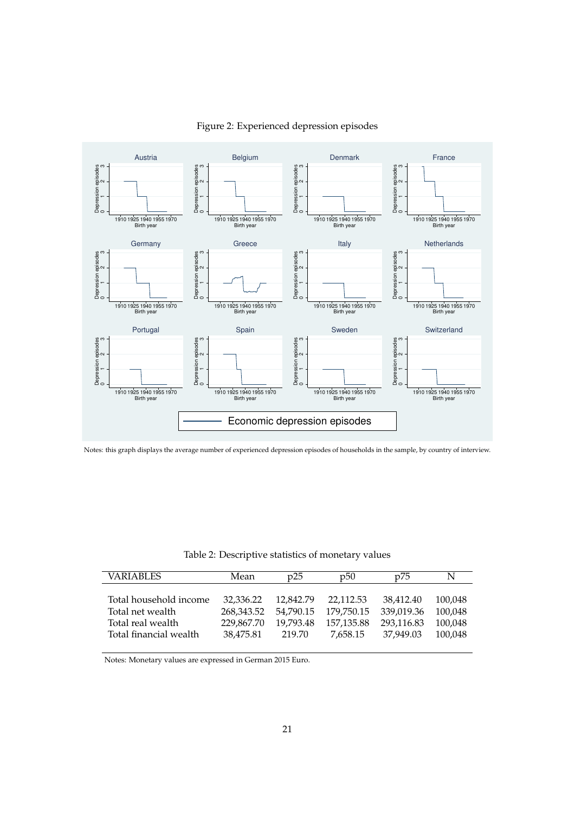<span id="page-20-1"></span>

#### Figure 2: Experienced depression episodes

Notes: this graph displays the average number of experienced depression episodes of households in the sample, by country of interview.

Table 2: Descriptive statistics of monetary values

<span id="page-20-0"></span>

| VARIABLES                                                                                 | Mean                                               | p25                                           | p50                                               | p75                                                | N                                        |
|-------------------------------------------------------------------------------------------|----------------------------------------------------|-----------------------------------------------|---------------------------------------------------|----------------------------------------------------|------------------------------------------|
| Total household income<br>Total net wealth<br>Total real wealth<br>Total financial wealth | 32,336.22<br>268.343.52<br>229.867.70<br>38.475.81 | 12.842.79<br>54.790.15<br>19.793.48<br>219.70 | 22.112.53<br>179.750.15<br>157,135.88<br>7.658.15 | 38.412.40<br>339.019.36<br>293.116.83<br>37.949.03 | 100,048<br>100,048<br>100,048<br>100.048 |
|                                                                                           |                                                    |                                               |                                                   |                                                    |                                          |

Notes: Monetary values are expressed in German 2015 Euro.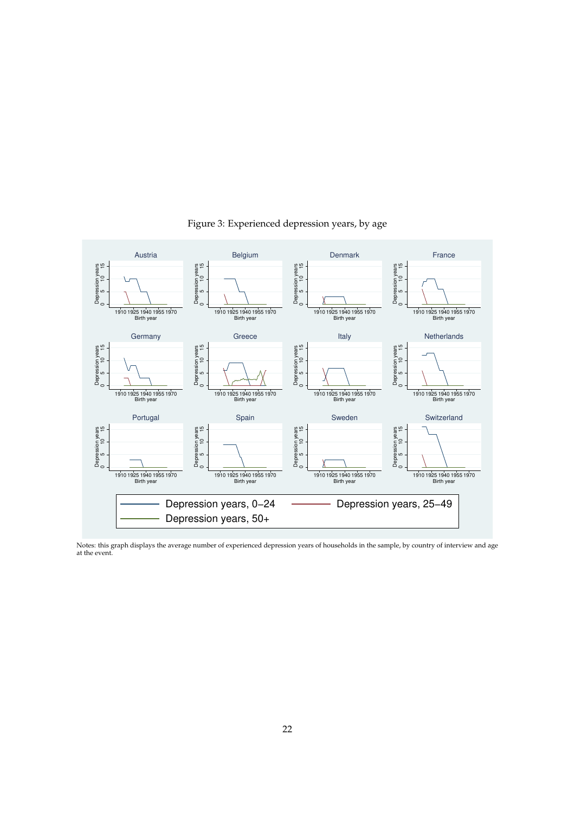<span id="page-21-0"></span>

Figure 3: Experienced depression years, by age

Notes: this graph displays the average number of experienced depression years of households in the sample, by country of interview and age at the event.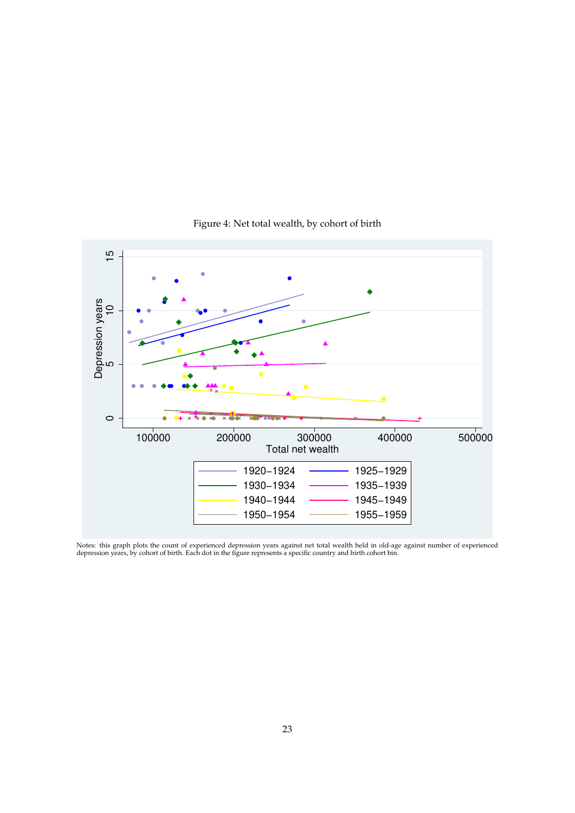<span id="page-22-0"></span>

### Figure 4: Net total wealth, by cohort of birth

Notes: this graph plots the count of experienced depression years against net total wealth held in old-age against number of experienced<br>depression years, by cohort of birth. Each dot in the figure represents a specific co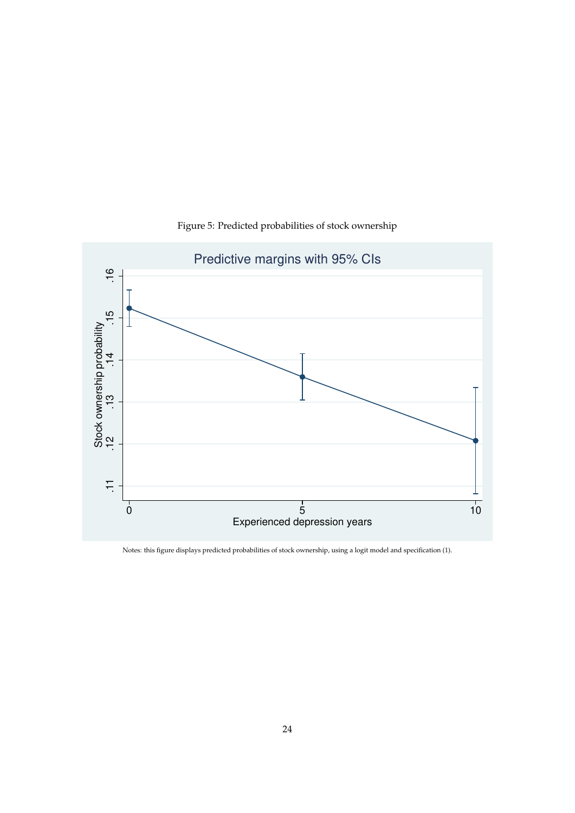

### Figure 5: Predicted probabilities of stock ownership

Notes: this figure displays predicted probabilities of stock ownership, using a logit model and specification (1).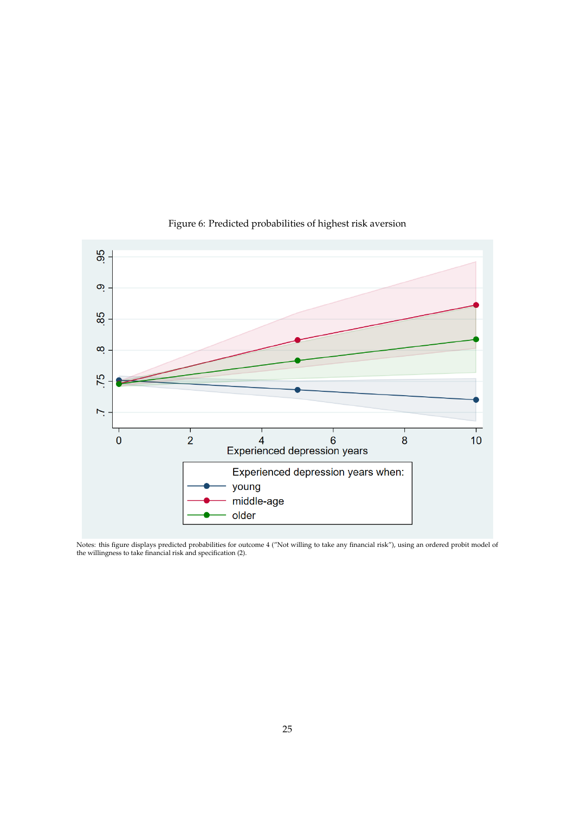<span id="page-24-0"></span>

### Figure 6: Predicted probabilities of highest risk aversion

Notes: this figure displays predicted probabilities for outcome 4 ("Not willing to take any financial risk"), using an ordered probit model of the willingness to take financial risk and specification (2).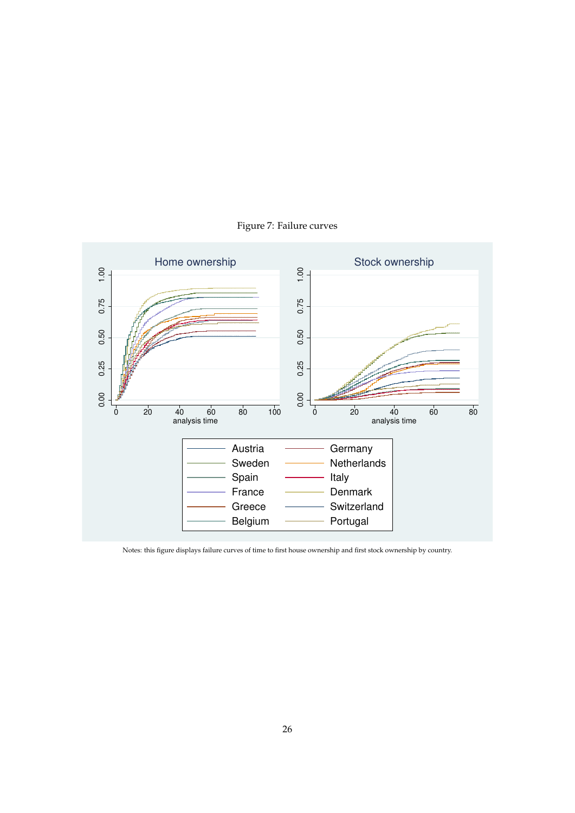

Figure 7: Failure curves

Notes: this figure displays failure curves of time to first house ownership and first stock ownership by country.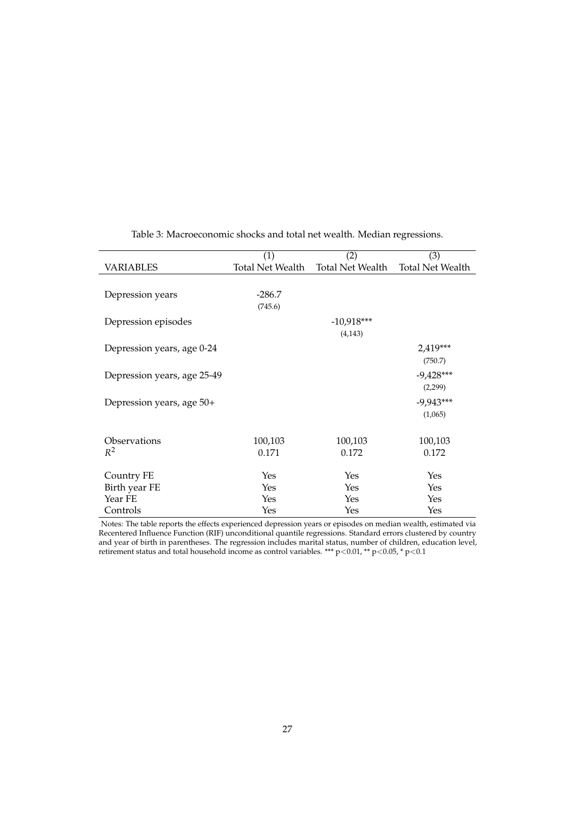<span id="page-26-0"></span>

|                             | (1)              | (2)              | (3)                     |
|-----------------------------|------------------|------------------|-------------------------|
| <b>VARIABLES</b>            | Total Net Wealth | Total Net Wealth | <b>Total Net Wealth</b> |
|                             |                  |                  |                         |
| Depression years            | $-286.7$         |                  |                         |
|                             | (745.6)          |                  |                         |
| Depression episodes         |                  | $-10,918***$     |                         |
|                             |                  | (4, 143)         |                         |
|                             |                  |                  |                         |
| Depression years, age 0-24  |                  |                  | 2,419***                |
|                             |                  |                  | (750.7)                 |
| Depression years, age 25-49 |                  |                  | $-9,428***$             |
|                             |                  |                  | (2,299)                 |
| Depression years, age 50+   |                  |                  | $-9,943***$             |
|                             |                  |                  | (1,065)                 |
|                             |                  |                  |                         |
| Observations                | 100,103          | 100,103          | 100,103                 |
| $R^2$                       | 0.171            | 0.172            | 0.172                   |
|                             |                  |                  |                         |
| Country FE                  | Yes              | Yes              | Yes                     |
| Birth year FE               | Yes              | Yes              | Yes                     |
| Year FE                     | Yes              | Yes              | Yes                     |
| Controls                    | Yes              | Yes              | Yes                     |

Table 3: Macroeconomic shocks and total net wealth. Median regressions.

Notes: The table reports the effects experienced depression years or episodes on median wealth, estimated via Recentered Influence Function (RIF) unconditional quantile regressions. Standard errors clustered by country and year of birth in parentheses. The regression includes marital status, number of children, education level, retirement status and total household income as control variables. \*\*\*  $p<0.01$ , \*\*  $p<0.05$ , \*  $p<0.1$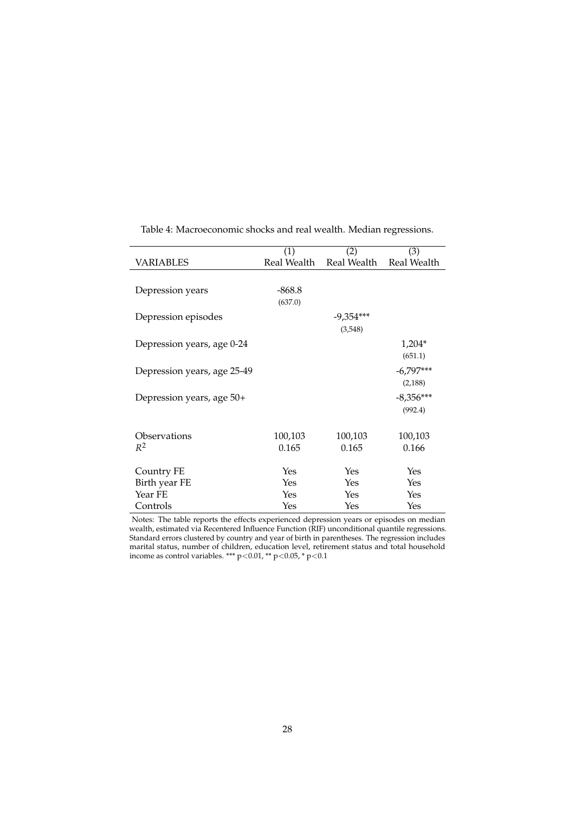<span id="page-27-0"></span>

|                             | (1)         | (2)         | (3)                     |
|-----------------------------|-------------|-------------|-------------------------|
| <b>VARIABLES</b>            | Real Wealth |             | Real Wealth Real Wealth |
|                             |             |             |                         |
| Depression years            | $-868.8$    |             |                         |
|                             | (637.0)     |             |                         |
|                             |             |             |                         |
| Depression episodes         |             | $-9,354***$ |                         |
|                             |             | (3,548)     |                         |
| Depression years, age 0-24  |             |             | $1,204*$                |
|                             |             |             | (651.1)                 |
|                             |             |             |                         |
| Depression years, age 25-49 |             |             | $-6,797***$             |
|                             |             |             | (2,188)                 |
| Depression years, age 50+   |             |             | $-8,356***$             |
|                             |             |             | (992.4)                 |
|                             |             |             |                         |
| Observations                | 100,103     | 100,103     | 100,103                 |
|                             |             |             |                         |
| $R^2$                       | 0.165       | 0.165       | 0.166                   |
|                             |             |             |                         |
| Country FE                  | Yes         | Yes         | Yes                     |
| Birth year FE               | Yes         | Yes         | Yes                     |
| Year FE                     | Yes         | Yes         | Yes                     |
| Controls                    | Yes         | Yes         | Yes                     |

Table 4: Macroeconomic shocks and real wealth. Median regressions.

Notes: The table reports the effects experienced depression years or episodes on median wealth, estimated via Recentered Influence Function (RIF) unconditional quantile regressions. Standard errors clustered by country and year of birth in parentheses. The regression includes marital status, number of children, education level, retirement status and total household income as control variables. \*\*\*  $p < 0.01$ , \*\*  $p < 0.05$ , \*  $p < 0.1$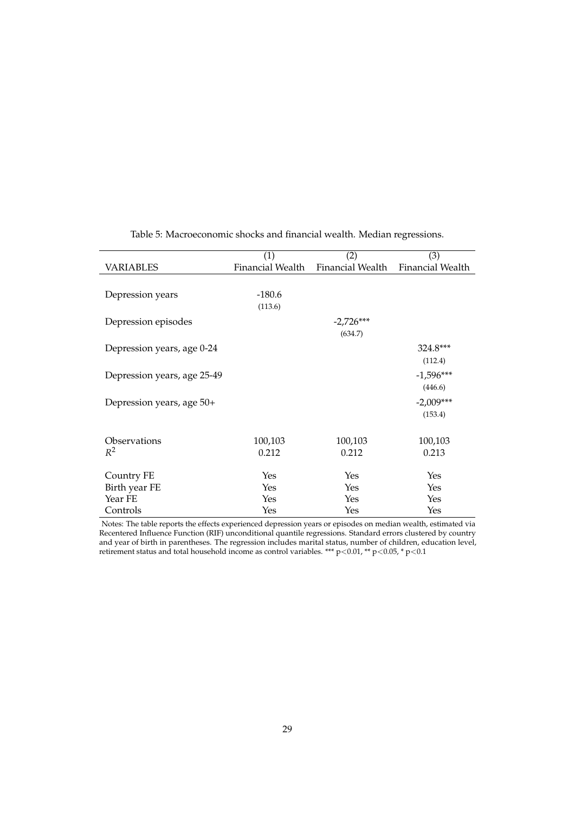<span id="page-28-0"></span>

|                             | (1)              | (2)              | (3)              |
|-----------------------------|------------------|------------------|------------------|
| <b>VARIABLES</b>            | Financial Wealth | Financial Wealth | Financial Wealth |
|                             |                  |                  |                  |
| Depression years            | $-180.6$         |                  |                  |
|                             | (113.6)          |                  |                  |
| Depression episodes         |                  | $-2,726***$      |                  |
|                             |                  | (634.7)          |                  |
| Depression years, age 0-24  |                  |                  | 324.8***         |
|                             |                  |                  | (112.4)          |
| Depression years, age 25-49 |                  |                  | $-1,596***$      |
|                             |                  |                  | (446.6)          |
| Depression years, age 50+   |                  |                  | $-2,009***$      |
|                             |                  |                  | (153.4)          |
|                             |                  |                  |                  |
| Observations                | 100,103          | 100,103          | 100,103          |
| $R^2$                       | 0.212            | 0.212            | 0.213            |
|                             |                  |                  |                  |
| Country FE                  | Yes              | Yes              | Yes              |
| Birth year FE               | Yes              | Yes              | Yes              |
| Year FE                     | Yes              | Yes              | Yes              |
| Controls                    | Yes              | Yes              | Yes              |

Table 5: Macroeconomic shocks and financial wealth. Median regressions.

Notes: The table reports the effects experienced depression years or episodes on median wealth, estimated via Recentered Influence Function (RIF) unconditional quantile regressions. Standard errors clustered by country and year of birth in parentheses. The regression includes marital status, number of children, education level, retirement status and total household income as control variables. \*\*\*  $p<0.01$ , \*\*  $p<0.05$ , \*  $p<0.1$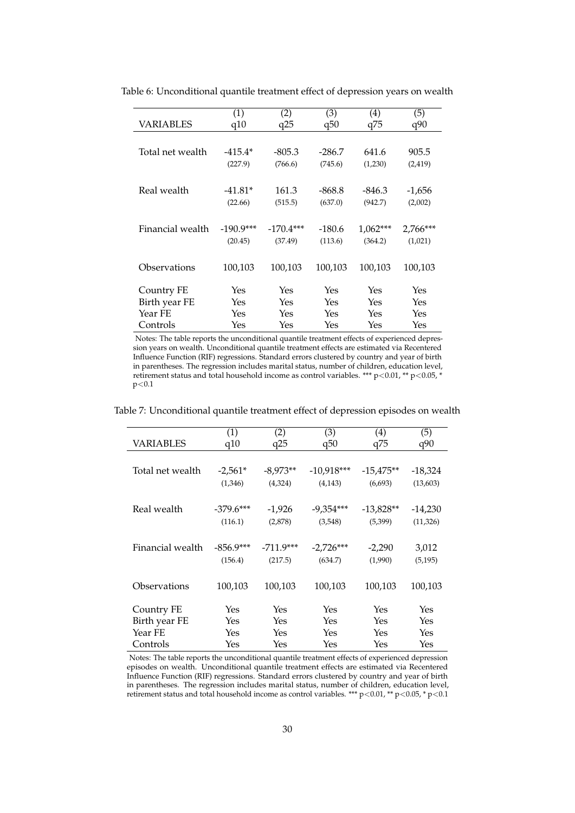|                  | (1)         | (2)         | (3)      | (4)        | (5)      |
|------------------|-------------|-------------|----------|------------|----------|
| VARIABLES        | q10         | q25         | q50      | q75        | q90      |
|                  |             |             |          |            |          |
| Total net wealth | $-415.4*$   | $-805.3$    | -286.7   | 641.6      | 905.5    |
|                  | (227.9)     | (766.6)     | (745.6)  | (1,230)    | (2, 419) |
|                  |             |             |          |            |          |
| Real wealth      | $-41.81*$   | 161.3       | $-868.8$ | $-846.3$   | $-1,656$ |
|                  | (22.66)     | (515.5)     | (637.0)  | (942.7)    | (2,002)  |
|                  |             |             |          |            |          |
| Financial wealth | $-190.9***$ | $-170.4***$ | $-180.6$ | $1,062***$ | 2,766*** |
|                  | (20.45)     | (37.49)     | (113.6)  | (364.2)    | (1,021)  |
|                  |             |             |          |            |          |
| Observations     | 100,103     | 100,103     | 100,103  | 100,103    | 100,103  |
|                  |             |             |          |            |          |
| Country FE       | Yes         | Yes         | Yes      | Yes        | Yes      |
| Birth year FE    | Yes         | Yes         | Yes      | Yes        | Yes      |
| Year FE          | Yes         | Yes         | Yes      | Yes        | Yes      |
| Controls         | Yes         | Yes         | Yes      | Yes        | Yes      |

<span id="page-29-0"></span>Table 6: Unconditional quantile treatment effect of depression years on wealth

Notes: The table reports the unconditional quantile treatment effects of experienced depression years on wealth. Unconditional quantile treatment effects are estimated via Recentered Influence Function (RIF) regressions. Standard errors clustered by country and year of birth in parentheses. The regression includes marital status, number of children, education level, retirement status and total household income as control variables. \*\*\* p<0.01, \*\* p<0.05, \*  $p<0.1$ 

<span id="page-29-1"></span>

| Table 7: Unconditional quantile treatment effect of depression episodes on wealth |
|-----------------------------------------------------------------------------------|
|-----------------------------------------------------------------------------------|

| (1)<br>q10  | (2)<br>q25  | (3)<br>q50   | (4)<br>q75  | (5)<br>q90 |
|-------------|-------------|--------------|-------------|------------|
|             |             |              |             |            |
| $-2,561*$   | $-8,973**$  | $-10,918***$ | $-15,475**$ | $-18,324$  |
| (1,346)     | (4,324)     | (4, 143)     | (6,693)     | (13,603)   |
|             |             |              |             |            |
| $-379.6***$ | $-1,926$    | $-9,354***$  | $-13,828**$ | -14,230    |
| (116.1)     | (2,878)     | (3,548)      | (5,399)     | (11, 326)  |
|             |             |              |             |            |
| $-856.9***$ | $-711.9***$ | $-2,726***$  | $-2,290$    | 3,012      |
| (156.4)     | (217.5)     | (634.7)      | (1,990)     | (5, 195)   |
|             |             |              |             |            |
|             |             |              |             | 100,103    |
|             |             |              |             |            |
| Yes         | Yes         | Yes          | Yes         | Yes        |
| Yes         | Yes         | Yes          | Yes         | Yes        |
| Yes         | Yes         | Yes          | Yes         | Yes        |
| Yes         | Yes         | Yes          | Yes         | Yes        |
|             | 100,103     | 100,103      | 100,103     | 100,103    |

Notes: The table reports the unconditional quantile treatment effects of experienced depression episodes on wealth. Unconditional quantile treatment effects are estimated via Recentered Influence Function (RIF) regressions. Standard errors clustered by country and year of birth in parentheses. The regression includes marital status, number of children, education level, retirement status and total household income as control variables. \*\*\* p<0.01, \*\* p<0.05, \* p<0.1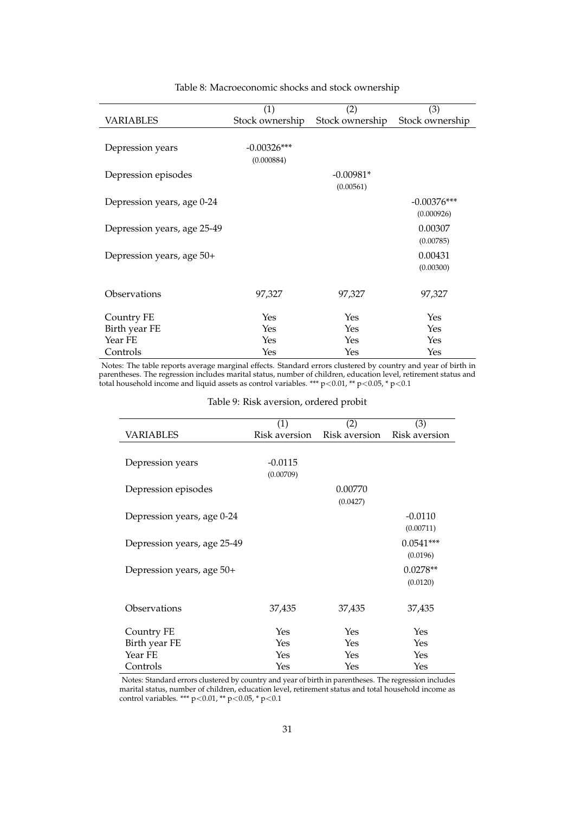<span id="page-30-0"></span>

|                             | (1)             | (2)             | (3)             |
|-----------------------------|-----------------|-----------------|-----------------|
| <b>VARIABLES</b>            | Stock ownership | Stock ownership | Stock ownership |
|                             |                 |                 |                 |
| Depression years            | $-0.00326***$   |                 |                 |
|                             | (0.000884)      |                 |                 |
|                             |                 |                 |                 |
| Depression episodes         |                 | $-0.00981*$     |                 |
|                             |                 | (0.00561)       |                 |
| Depression years, age 0-24  |                 |                 | $-0.00376***$   |
|                             |                 |                 | (0.000926)      |
| Depression years, age 25-49 |                 |                 | 0.00307         |
|                             |                 |                 | (0.00785)       |
| Depression years, age 50+   |                 |                 | 0.00431         |
|                             |                 |                 | (0.00300)       |
|                             |                 |                 |                 |
| Observations                | 97,327          | 97,327          | 97,327          |
|                             |                 |                 |                 |
| Country FE                  | Yes             | Yes             | Yes             |
| Birth year FE               | Yes             | Yes             | Yes             |
| Year FE                     | Yes             | Yes             | Yes             |
| Controls                    | Yes             | Yes             | Yes             |

#### Table 8: Macroeconomic shocks and stock ownership

<span id="page-30-1"></span>Notes: The table reports average marginal effects. Standard errors clustered by country and year of birth in parentheses. The regression includes marital status, number of children, education level, retirement status and total household income and liquid assets as control variables. \*\*\* p<0.01, \*\* p<0.05, \* p<0.1

|                             | (1)           | (2)           | (3)           |
|-----------------------------|---------------|---------------|---------------|
| <b>VARIABLES</b>            | Risk aversion | Risk aversion | Risk aversion |
|                             |               |               |               |
| Depression years            | $-0.0115$     |               |               |
|                             | (0.00709)     |               |               |
| Depression episodes         |               | 0.00770       |               |
|                             |               | (0.0427)      |               |
|                             |               |               |               |
| Depression years, age 0-24  |               |               | $-0.0110$     |
|                             |               |               | (0.00711)     |
| Depression years, age 25-49 |               |               | $0.0541***$   |
|                             |               |               | (0.0196)      |
| Depression years, age 50+   |               |               | $0.0278**$    |
|                             |               |               | (0.0120)      |
|                             |               |               |               |
| Observations                | 37,435        | 37,435        | 37,435        |
|                             |               |               |               |
| Country FE                  | Yes           | Yes           | Yes           |
| Birth year FE               | Yes           | Yes           | Yes           |
| Year FE                     | Yes           | Yes           | Yes           |
| Controls                    | Yes           | Yes           | Yes           |

Table 9: Risk aversion, ordered probit

Notes: Standard errors clustered by country and year of birth in parentheses. The regression includes marital status, number of children, education level, retirement status and total household income as control variables. \*\*\* p<0.01, \*\* p<0.05, \* p<0.1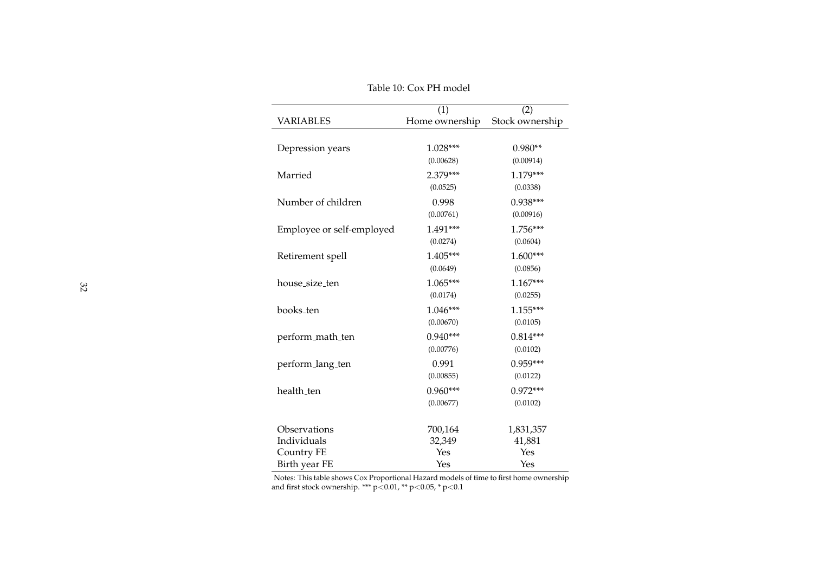<span id="page-31-0"></span>

|                           | (1)            | (2)             |
|---------------------------|----------------|-----------------|
| <b>VARIABLES</b>          | Home ownership | Stock ownership |
|                           |                |                 |
| Depression years          | $1.028***$     | $0.980**$       |
|                           | (0.00628)      | (0.00914)       |
| Married                   | 2.379***       | $1.179***$      |
|                           | (0.0525)       | (0.0338)        |
| Number of children        | 0.998          | $0.938***$      |
|                           | (0.00761)      | (0.00916)       |
| Employee or self-employed | 1.491***       | 1.756***        |
|                           | (0.0274)       | (0.0604)        |
| Retirement spell          | 1.405***       | 1.600***        |
|                           | (0.0649)       | (0.0856)        |
| house_size_ten            | $1.065***$     | $1.167***$      |
|                           | (0.0174)       | (0.0255)        |
| books_ten                 | $1.046***$     | $1.155***$      |
|                           | (0.00670)      | (0.0105)        |
| perform_math_ten          | $0.940***$     | $0.814***$      |
|                           | (0.00776)      | (0.0102)        |
| perform_lang_ten          | 0.991          | $0.959***$      |
|                           | (0.00855)      | (0.0122)        |
| health_ten                | $0.960***$     | $0.972***$      |
|                           | (0.00677)      | (0.0102)        |
| Observations              | 700,164        | 1,831,357       |
| Individuals               | 32,349         | 41,881          |
| Country FE                | Yes            | Yes             |
| Birth year FE             | Yes            | Yes             |

Table 10: Cox PH model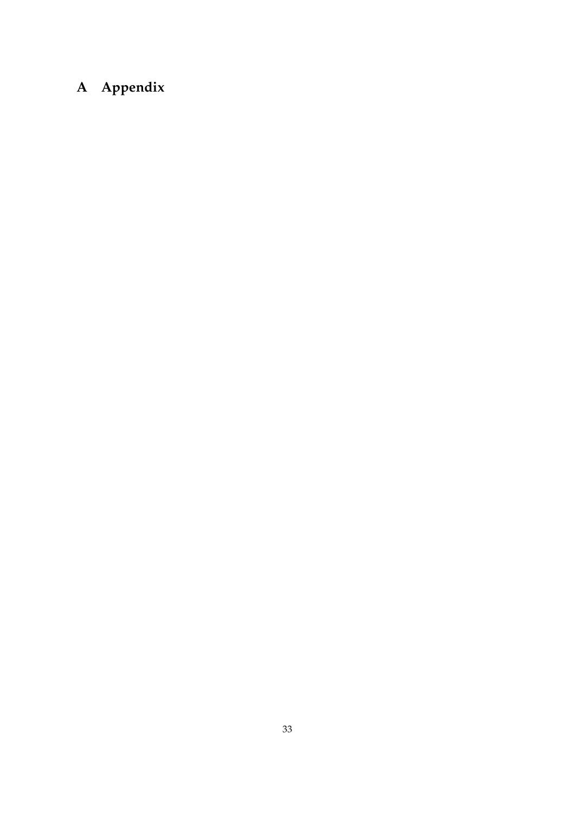# **A Appendix**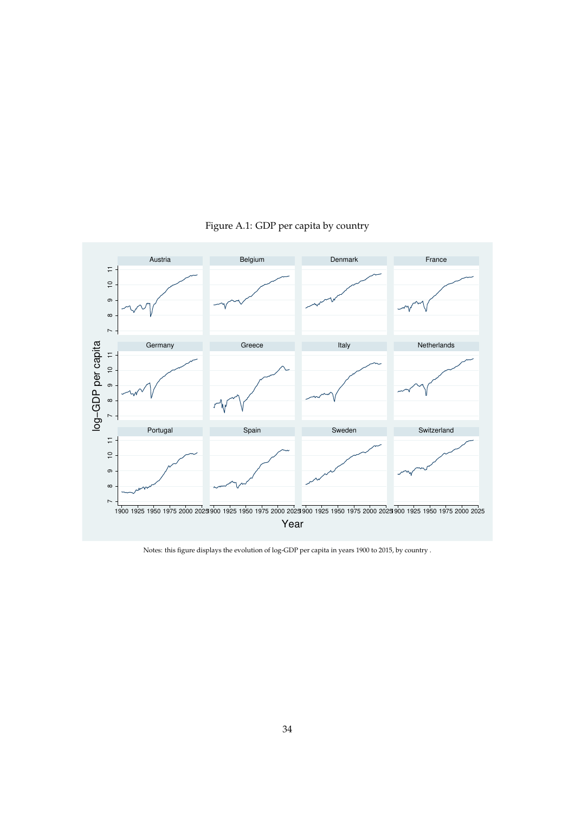<span id="page-33-0"></span>

Figure A.1: GDP per capita by country

Notes: this figure displays the evolution of log-GDP per capita in years 1900 to 2015, by country .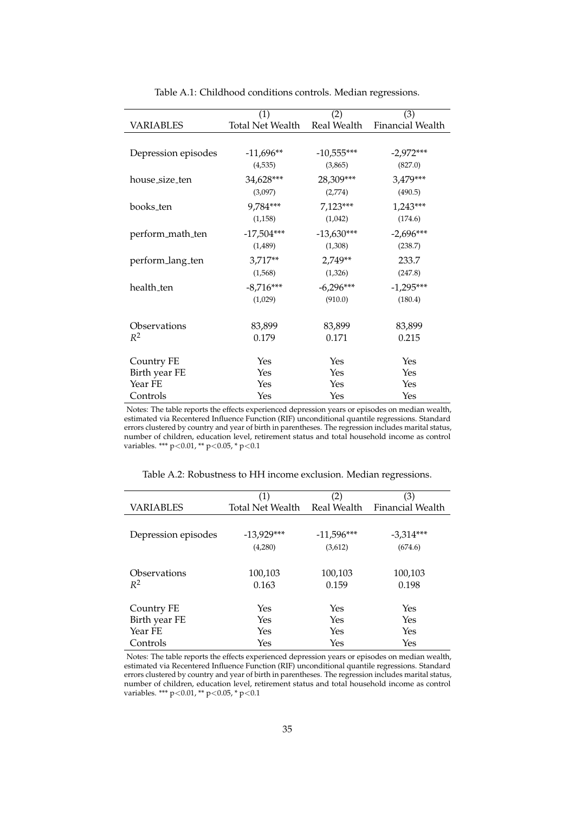<span id="page-34-0"></span>

|                     | (1)                     | (2)          | (3)              |
|---------------------|-------------------------|--------------|------------------|
| <b>VARIABLES</b>    | <b>Total Net Wealth</b> | Real Wealth  | Financial Wealth |
|                     |                         |              |                  |
| Depression episodes | $-11,696**$             | $-10,555***$ | $-2,972***$      |
|                     | (4,535)                 | (3,865)      | (827.0)          |
| house_size_ten      | 34,628***               | 28,309***    | 3,479***         |
|                     | (3,097)                 | (2,774)      | (490.5)          |
| books_ten           | 9,784***                | 7,123***     | $1,243***$       |
|                     | (1, 158)                | (1,042)      | (174.6)          |
| perform_math_ten    | $-17,504***$            | $-13,630***$ | $-2,696***$      |
|                     | (1,489)                 | (1,308)      | (238.7)          |
| perform_lang_ten    | 3,717**                 | 2,749**      | 233.7            |
|                     | (1,568)                 | (1,326)      | (247.8)          |
| health_ten          | $-8,716***$             | $-6,296***$  | $-1,295***$      |
|                     | (1,029)                 | (910.0)      | (180.4)          |
|                     |                         |              |                  |
| Observations        | 83,899                  | 83,899       | 83,899           |
| $R^2$               | 0.179                   | 0.171        | 0.215            |
|                     |                         |              |                  |
| Country FE          | Yes                     | Yes          | Yes              |
| Birth year FE       | Yes                     | Yes          | Yes              |
| Year FE             | Yes                     | Yes          | Yes              |
| Controls            | Yes                     | Yes          | Yes              |

Table A.1: Childhood conditions controls. Median regressions.

Notes: The table reports the effects experienced depression years or episodes on median wealth, estimated via Recentered Influence Function (RIF) unconditional quantile regressions. Standard errors clustered by country and year of birth in parentheses. The regression includes marital status, number of children, education level, retirement status and total household income as control variables. \*\*\* p<0.01, \*\* p<0.05, \* p<0.1

<span id="page-34-1"></span>

|                     | (1)              | (2)          | (3)                     |
|---------------------|------------------|--------------|-------------------------|
| <b>VARIABLES</b>    | Total Net Wealth | Real Wealth  | <b>Financial Wealth</b> |
|                     |                  |              |                         |
| Depression episodes | $-13,929***$     | $-11,596***$ | $-3,314***$             |
|                     | (4,280)          | (3,612)      | (674.6)                 |
|                     |                  |              |                         |
| Observations        | 100,103          | 100,103      | 100,103                 |
| $R^2$               | 0.163            | 0.159        | 0.198                   |
|                     |                  |              |                         |
| Country FE          | Yes              | Yes          | Yes                     |
| Birth year FE       | Yes              | Yes          | Yes                     |
| Year FE             | Yes              | Yes          | Yes                     |
| Controls            | Yes              | Yes          | Yes                     |

Table A.2: Robustness to HH income exclusion. Median regressions.

Notes: The table reports the effects experienced depression years or episodes on median wealth, estimated via Recentered Influence Function (RIF) unconditional quantile regressions. Standard errors clustered by country and year of birth in parentheses. The regression includes marital status, number of children, education level, retirement status and total household income as control variables. \*\*\* p<0.01, \*\* p<0.05, \* p<0.1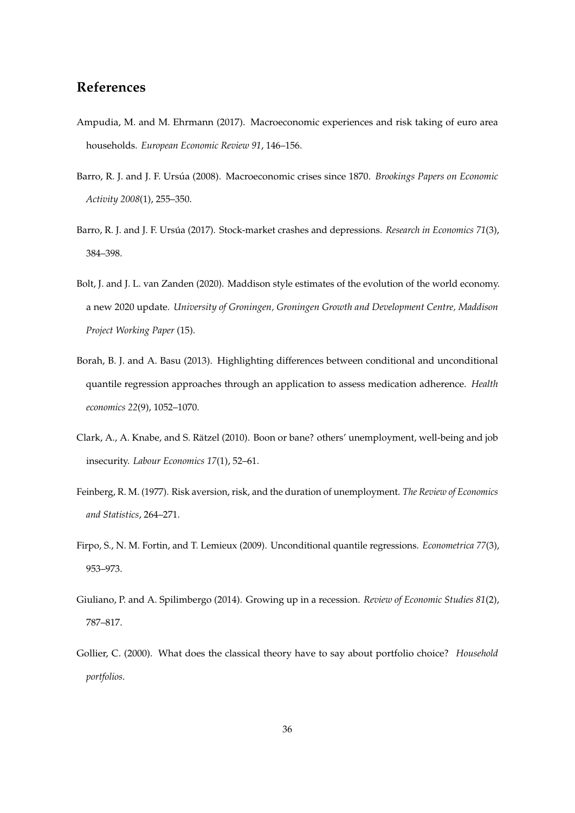## **References**

- <span id="page-35-3"></span>Ampudia, M. and M. Ehrmann (2017). Macroeconomic experiences and risk taking of euro area households. *European Economic Review 91*, 146–156.
- <span id="page-35-0"></span>Barro, R. J. and J. F. Ursúa (2008). Macroeconomic crises since 1870. *Brookings Papers on Economic Activity 2008*(1), 255–350.
- <span id="page-35-1"></span>Barro, R. J. and J. F. Ursúa (2017). Stock-market crashes and depressions. *Research in Economics 71*(3), 384–398.
- <span id="page-35-7"></span>Bolt, J. and J. L. van Zanden (2020). Maddison style estimates of the evolution of the world economy. a new 2020 update. *University of Groningen, Groningen Growth and Development Centre, Maddison Project Working Paper* (15).
- <span id="page-35-9"></span>Borah, B. J. and A. Basu (2013). Highlighting differences between conditional and unconditional quantile regression approaches through an application to assess medication adherence. *Health economics 22*(9), 1052–1070.
- <span id="page-35-6"></span>Clark, A., A. Knabe, and S. Ratzel (2010). Boon or bane? others' unemployment, well-being and job ¨ insecurity. *Labour Economics 17*(1), 52–61.
- <span id="page-35-4"></span>Feinberg, R. M. (1977). Risk aversion, risk, and the duration of unemployment. *The Review of Economics and Statistics*, 264–271.
- <span id="page-35-8"></span>Firpo, S., N. M. Fortin, and T. Lemieux (2009). Unconditional quantile regressions. *Econometrica 77*(3), 953–973.
- <span id="page-35-5"></span>Giuliano, P. and A. Spilimbergo (2014). Growing up in a recession. *Review of Economic Studies 81*(2), 787–817.
- <span id="page-35-2"></span>Gollier, C. (2000). What does the classical theory have to say about portfolio choice? *Household portfolios*.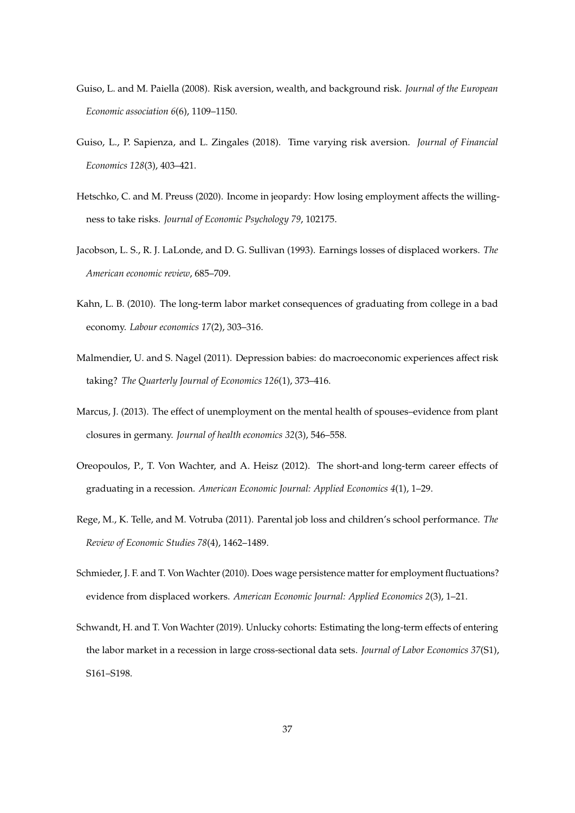- <span id="page-36-8"></span>Guiso, L. and M. Paiella (2008). Risk aversion, wealth, and background risk. *Journal of the European Economic association 6*(6), 1109–1150.
- <span id="page-36-9"></span>Guiso, L., P. Sapienza, and L. Zingales (2018). Time varying risk aversion. *Journal of Financial Economics 128*(3), 403–421.
- <span id="page-36-10"></span>Hetschko, C. and M. Preuss (2020). Income in jeopardy: How losing employment affects the willingness to take risks. *Journal of Economic Psychology 79*, 102175.
- <span id="page-36-6"></span>Jacobson, L. S., R. J. LaLonde, and D. G. Sullivan (1993). Earnings losses of displaced workers. *The American economic review*, 685–709.
- <span id="page-36-0"></span>Kahn, L. B. (2010). The long-term labor market consequences of graduating from college in a bad economy. *Labour economics 17*(2), 303–316.
- <span id="page-36-3"></span>Malmendier, U. and S. Nagel (2011). Depression babies: do macroeconomic experiences affect risk taking? *The Quarterly Journal of Economics 126*(1), 373–416.
- <span id="page-36-4"></span>Marcus, J. (2013). The effect of unemployment on the mental health of spouses–evidence from plant closures in germany. *Journal of health economics 32*(3), 546–558.
- <span id="page-36-7"></span>Oreopoulos, P., T. Von Wachter, and A. Heisz (2012). The short-and long-term career effects of graduating in a recession. *American Economic Journal: Applied Economics 4*(1), 1–29.
- <span id="page-36-5"></span>Rege, M., K. Telle, and M. Votruba (2011). Parental job loss and children's school performance. *The Review of Economic Studies 78*(4), 1462–1489.
- <span id="page-36-1"></span>Schmieder, J. F. and T. Von Wachter (2010). Does wage persistence matter for employment fluctuations? evidence from displaced workers. *American Economic Journal: Applied Economics 2*(3), 1–21.
- <span id="page-36-2"></span>Schwandt, H. and T. Von Wachter (2019). Unlucky cohorts: Estimating the long-term effects of entering the labor market in a recession in large cross-sectional data sets. *Journal of Labor Economics 37*(S1), S161–S198.